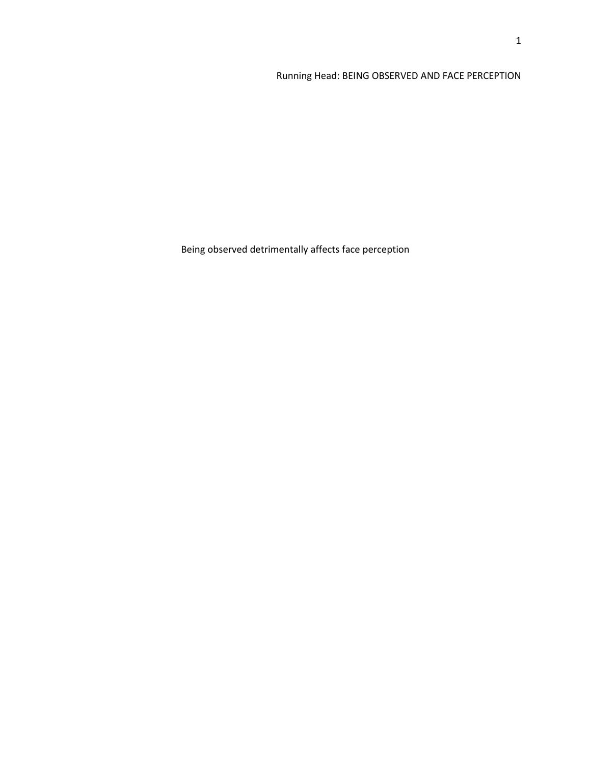# Running Head: BEING OBSERVED AND FACE PERCEPTION

Being observed detrimentally affects face perception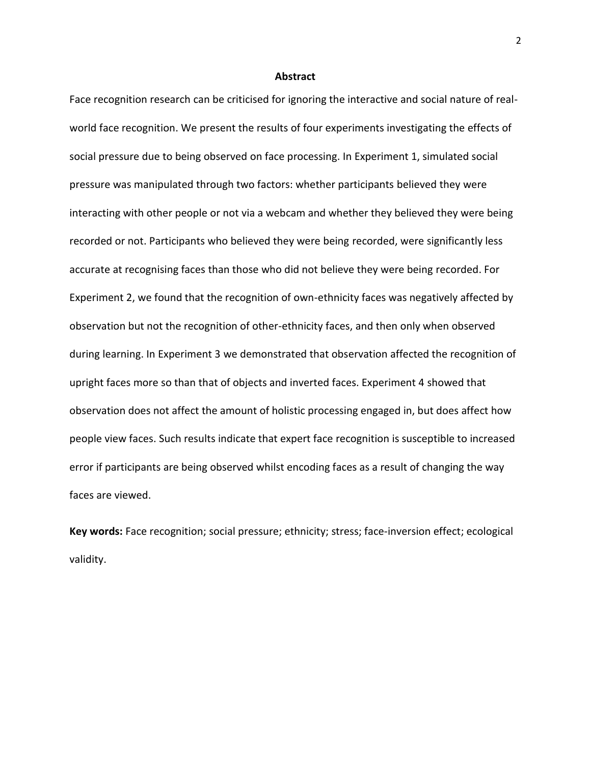#### **Abstract**

Face recognition research can be criticised for ignoring the interactive and social nature of realworld face recognition. We present the results of four experiments investigating the effects of social pressure due to being observed on face processing. In Experiment 1, simulated social pressure was manipulated through two factors: whether participants believed they were interacting with other people or not via a webcam and whether they believed they were being recorded or not. Participants who believed they were being recorded, were significantly less accurate at recognising faces than those who did not believe they were being recorded. For Experiment 2, we found that the recognition of own-ethnicity faces was negatively affected by observation but not the recognition of other-ethnicity faces, and then only when observed during learning. In Experiment 3 we demonstrated that observation affected the recognition of upright faces more so than that of objects and inverted faces. Experiment 4 showed that observation does not affect the amount of holistic processing engaged in, but does affect how people view faces. Such results indicate that expert face recognition is susceptible to increased error if participants are being observed whilst encoding faces as a result of changing the way faces are viewed.

**Key words:** Face recognition; social pressure; ethnicity; stress; face-inversion effect; ecological validity.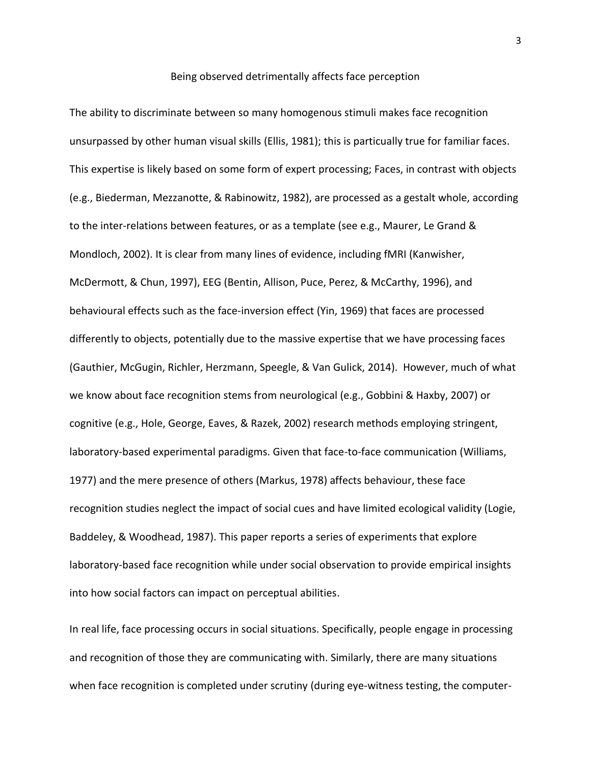#### Being observed detrimentally affects face perception

The ability to discriminate between so many homogenous stimuli makes face recognition unsurpassed by other human visual skills (Ellis, 1981); this is particually true for familiar faces. This expertise is likely based on some form of expert processing; Faces, in contrast with objects (e.g., Biederman, Mezzanotte, & Rabinowitz, 1982), are processed as a gestalt whole, according to the inter-relations between features, or as a template (see e.g., Maurer, Le Grand & Mondloch, 2002). It is clear from many lines of evidence, including fMRI (Kanwisher, McDermott, & Chun, 1997), EEG (Bentin, Allison, Puce, Perez, & McCarthy, 1996), and behavioural effects such as the face-inversion effect (Yin, 1969) that faces are processed differently to objects, potentially due to the massive expertise that we have processing faces (Gauthier, McGugin, Richler, Herzmann, Speegle, & Van Gulick, 2014). However, much of what we know about face recognition stems from neurological (e.g., Gobbini & Haxby, 2007) or cognitive (e.g., Hole, George, Eaves, & Razek, 2002) research methods employing stringent, laboratory-based experimental paradigms. Given that face-to-face communication (Williams, 1977) and the mere presence of others (Markus, 1978) affects behaviour, these face recognition studies neglect the impact of social cues and have limited ecological validity (Logie, Baddeley, & Woodhead, 1987). This paper reports a series of experiments that explore laboratory-based face recognition while under social observation to provide empirical insights into how social factors can impact on perceptual abilities.

In real life, face processing occurs in social situations. Specifically, people engage in processing and recognition of those they are communicating with. Similarly, there are many situations when face recognition is completed under scrutiny (during eye-witness testing, the computer-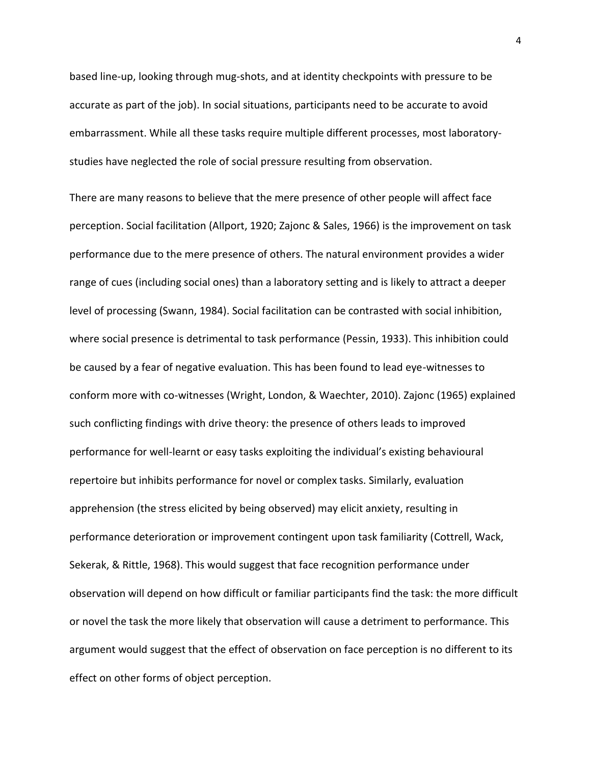based line-up, looking through mug-shots, and at identity checkpoints with pressure to be accurate as part of the job). In social situations, participants need to be accurate to avoid embarrassment. While all these tasks require multiple different processes, most laboratorystudies have neglected the role of social pressure resulting from observation.

There are many reasons to believe that the mere presence of other people will affect face perception. Social facilitation (Allport, 1920; Zajonc & Sales, 1966) is the improvement on task performance due to the mere presence of others. The natural environment provides a wider range of cues (including social ones) than a laboratory setting and is likely to attract a deeper level of processing (Swann, 1984). Social facilitation can be contrasted with social inhibition, where social presence is detrimental to task performance (Pessin, 1933). This inhibition could be caused by a fear of negative evaluation. This has been found to lead eye-witnesses to conform more with co-witnesses (Wright, London, & Waechter, 2010). Zajonc (1965) explained such conflicting findings with drive theory: the presence of others leads to improved performance for well-learnt or easy tasks exploiting the individual's existing behavioural repertoire but inhibits performance for novel or complex tasks. Similarly, evaluation apprehension (the stress elicited by being observed) may elicit anxiety, resulting in performance deterioration or improvement contingent upon task familiarity (Cottrell, Wack, Sekerak, & Rittle, 1968). This would suggest that face recognition performance under observation will depend on how difficult or familiar participants find the task: the more difficult or novel the task the more likely that observation will cause a detriment to performance. This argument would suggest that the effect of observation on face perception is no different to its effect on other forms of object perception.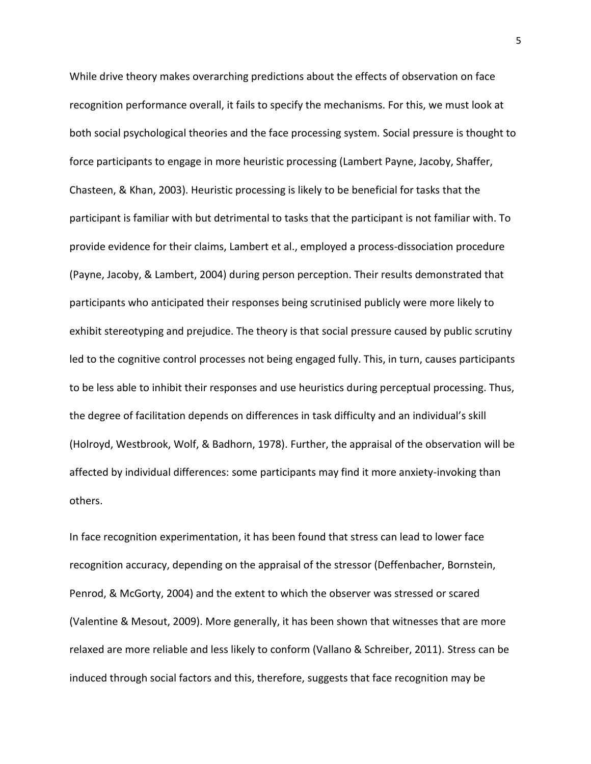While drive theory makes overarching predictions about the effects of observation on face recognition performance overall, it fails to specify the mechanisms. For this, we must look at both social psychological theories and the face processing system. Social pressure is thought to force participants to engage in more heuristic processing (Lambert Payne, Jacoby, Shaffer, Chasteen, & Khan, 2003). Heuristic processing is likely to be beneficial for tasks that the participant is familiar with but detrimental to tasks that the participant is not familiar with. To provide evidence for their claims, Lambert et al., employed a process-dissociation procedure (Payne, Jacoby, & Lambert, 2004) during person perception. Their results demonstrated that participants who anticipated their responses being scrutinised publicly were more likely to exhibit stereotyping and prejudice. The theory is that social pressure caused by public scrutiny led to the cognitive control processes not being engaged fully. This, in turn, causes participants to be less able to inhibit their responses and use heuristics during perceptual processing. Thus, the degree of facilitation depends on differences in task difficulty and an individual's skill (Holroyd, Westbrook, Wolf, & Badhorn, 1978). Further, the appraisal of the observation will be affected by individual differences: some participants may find it more anxiety-invoking than others.

In face recognition experimentation, it has been found that stress can lead to lower face recognition accuracy, depending on the appraisal of the stressor (Deffenbacher, Bornstein, Penrod, & McGorty, 2004) and the extent to which the observer was stressed or scared (Valentine & Mesout, 2009). More generally, it has been shown that witnesses that are more relaxed are more reliable and less likely to conform (Vallano & Schreiber, 2011). Stress can be induced through social factors and this, therefore, suggests that face recognition may be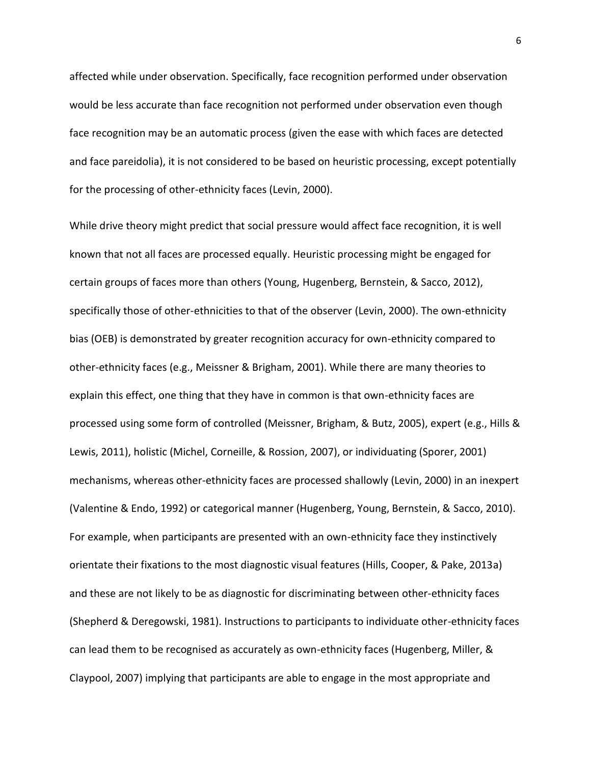affected while under observation. Specifically, face recognition performed under observation would be less accurate than face recognition not performed under observation even though face recognition may be an automatic process (given the ease with which faces are detected and face pareidolia), it is not considered to be based on heuristic processing, except potentially for the processing of other-ethnicity faces (Levin, 2000).

While drive theory might predict that social pressure would affect face recognition, it is well known that not all faces are processed equally. Heuristic processing might be engaged for certain groups of faces more than others (Young, Hugenberg, Bernstein, & Sacco, 2012), specifically those of other-ethnicities to that of the observer (Levin, 2000). The own-ethnicity bias (OEB) is demonstrated by greater recognition accuracy for own-ethnicity compared to other-ethnicity faces (e.g., Meissner & Brigham, 2001). While there are many theories to explain this effect, one thing that they have in common is that own-ethnicity faces are processed using some form of controlled (Meissner, Brigham, & Butz, 2005), expert (e.g., Hills & Lewis, 2011), holistic (Michel, Corneille, & Rossion, 2007), or individuating (Sporer, 2001) mechanisms, whereas other-ethnicity faces are processed shallowly (Levin, 2000) in an inexpert (Valentine & Endo, 1992) or categorical manner (Hugenberg, Young, Bernstein, & Sacco, 2010). For example, when participants are presented with an own-ethnicity face they instinctively orientate their fixations to the most diagnostic visual features (Hills, Cooper, & Pake, 2013a) and these are not likely to be as diagnostic for discriminating between other-ethnicity faces (Shepherd & Deregowski, 1981). Instructions to participants to individuate other-ethnicity faces can lead them to be recognised as accurately as own-ethnicity faces (Hugenberg, Miller, & Claypool, 2007) implying that participants are able to engage in the most appropriate and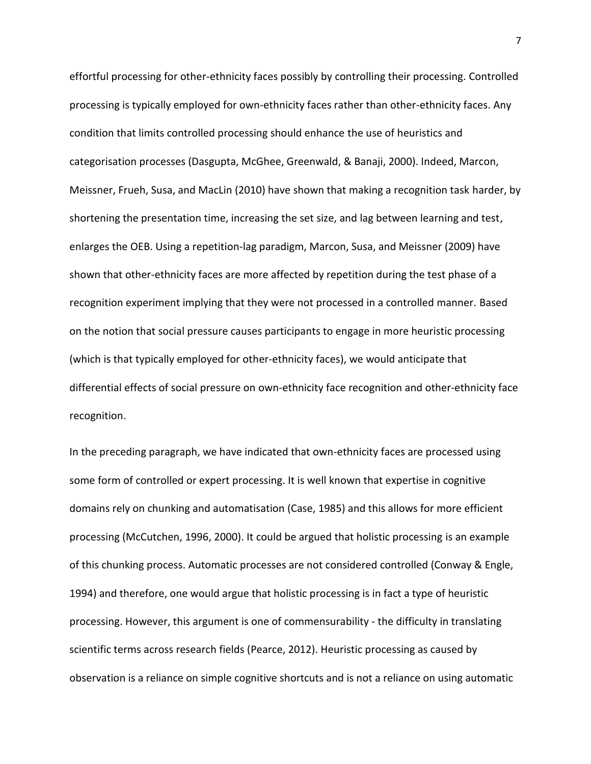effortful processing for other-ethnicity faces possibly by controlling their processing. Controlled processing is typically employed for own-ethnicity faces rather than other-ethnicity faces. Any condition that limits controlled processing should enhance the use of heuristics and categorisation processes (Dasgupta, McGhee, Greenwald, & Banaji, 2000). Indeed, Marcon, Meissner, Frueh, Susa, and MacLin (2010) have shown that making a recognition task harder, by shortening the presentation time, increasing the set size, and lag between learning and test, enlarges the OEB. Using a repetition-lag paradigm, Marcon, Susa, and Meissner (2009) have shown that other-ethnicity faces are more affected by repetition during the test phase of a recognition experiment implying that they were not processed in a controlled manner. Based on the notion that social pressure causes participants to engage in more heuristic processing (which is that typically employed for other-ethnicity faces), we would anticipate that differential effects of social pressure on own-ethnicity face recognition and other-ethnicity face recognition.

In the preceding paragraph, we have indicated that own-ethnicity faces are processed using some form of controlled or expert processing. It is well known that expertise in cognitive domains rely on chunking and automatisation (Case, 1985) and this allows for more efficient processing (McCutchen, 1996, 2000). It could be argued that holistic processing is an example of this chunking process. Automatic processes are not considered controlled (Conway & Engle, 1994) and therefore, one would argue that holistic processing is in fact a type of heuristic processing. However, this argument is one of commensurability - the difficulty in translating scientific terms across research fields (Pearce, 2012). Heuristic processing as caused by observation is a reliance on simple cognitive shortcuts and is not a reliance on using automatic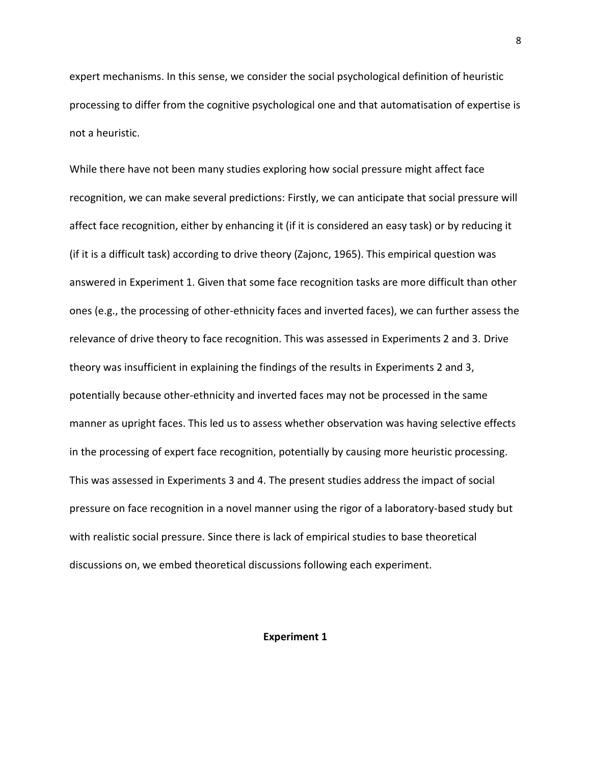expert mechanisms. In this sense, we consider the social psychological definition of heuristic processing to differ from the cognitive psychological one and that automatisation of expertise is not a heuristic.

While there have not been many studies exploring how social pressure might affect face recognition, we can make several predictions: Firstly, we can anticipate that social pressure will affect face recognition, either by enhancing it (if it is considered an easy task) or by reducing it (if it is a difficult task) according to drive theory (Zajonc, 1965). This empirical question was answered in Experiment 1. Given that some face recognition tasks are more difficult than other ones (e.g., the processing of other-ethnicity faces and inverted faces), we can further assess the relevance of drive theory to face recognition. This was assessed in Experiments 2 and 3. Drive theory was insufficient in explaining the findings of the results in Experiments 2 and 3, potentially because other-ethnicity and inverted faces may not be processed in the same manner as upright faces. This led us to assess whether observation was having selective effects in the processing of expert face recognition, potentially by causing more heuristic processing. This was assessed in Experiments 3 and 4. The present studies address the impact of social pressure on face recognition in a novel manner using the rigor of a laboratory-based study but with realistic social pressure. Since there is lack of empirical studies to base theoretical discussions on, we embed theoretical discussions following each experiment.

# **Experiment 1**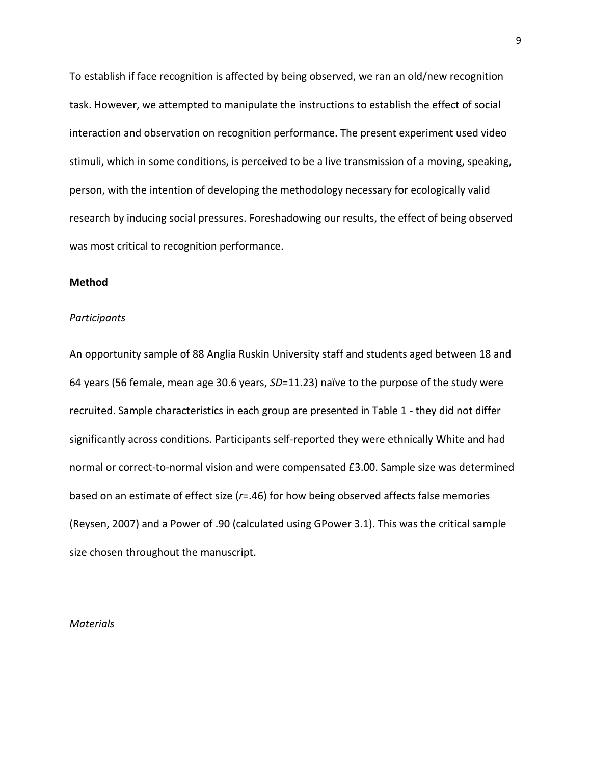To establish if face recognition is affected by being observed, we ran an old/new recognition task. However, we attempted to manipulate the instructions to establish the effect of social interaction and observation on recognition performance. The present experiment used video stimuli, which in some conditions, is perceived to be a live transmission of a moving, speaking, person, with the intention of developing the methodology necessary for ecologically valid research by inducing social pressures. Foreshadowing our results, the effect of being observed was most critical to recognition performance.

### **Method**

#### *Participants*

An opportunity sample of 88 Anglia Ruskin University staff and students aged between 18 and 64 years (56 female, mean age 30.6 years, *SD*=11.23) naïve to the purpose of the study were recruited. Sample characteristics in each group are presented in Table 1 - they did not differ significantly across conditions. Participants self-reported they were ethnically White and had normal or correct-to-normal vision and were compensated £3.00. Sample size was determined based on an estimate of effect size (*r*=.46) for how being observed affects false memories (Reysen, 2007) and a Power of .90 (calculated using GPower 3.1). This was the critical sample size chosen throughout the manuscript.

#### *Materials*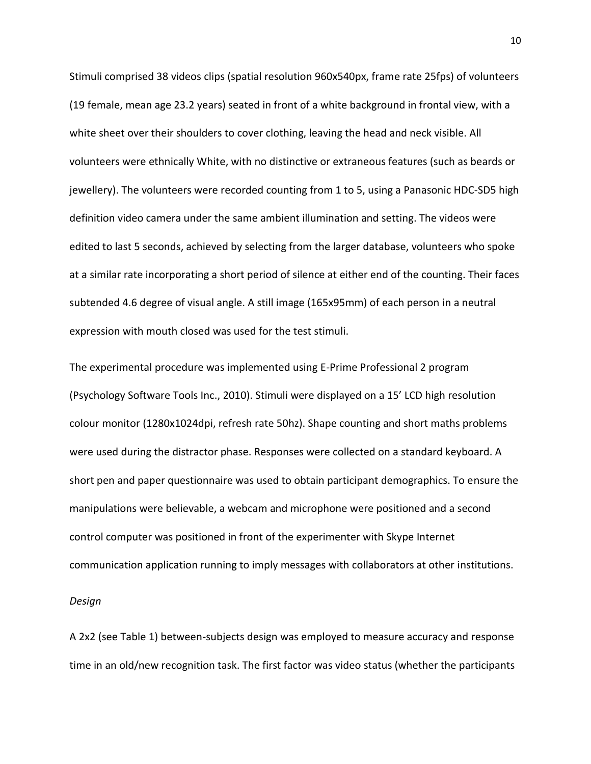Stimuli comprised 38 videos clips (spatial resolution 960x540px, frame rate 25fps) of volunteers (19 female, mean age 23.2 years) seated in front of a white background in frontal view, with a white sheet over their shoulders to cover clothing, leaving the head and neck visible. All volunteers were ethnically White, with no distinctive or extraneous features (such as beards or jewellery). The volunteers were recorded counting from 1 to 5, using a Panasonic HDC-SD5 high definition video camera under the same ambient illumination and setting. The videos were edited to last 5 seconds, achieved by selecting from the larger database, volunteers who spoke at a similar rate incorporating a short period of silence at either end of the counting. Their faces subtended 4.6 degree of visual angle. A still image (165x95mm) of each person in a neutral expression with mouth closed was used for the test stimuli.

The experimental procedure was implemented using E-Prime Professional 2 program (Psychology Software Tools Inc., 2010). Stimuli were displayed on a 15' LCD high resolution colour monitor (1280x1024dpi, refresh rate 50hz). Shape counting and short maths problems were used during the distractor phase. Responses were collected on a standard keyboard. A short pen and paper questionnaire was used to obtain participant demographics. To ensure the manipulations were believable, a webcam and microphone were positioned and a second control computer was positioned in front of the experimenter with Skype Internet communication application running to imply messages with collaborators at other institutions.

#### *Design*

A 2x2 (see Table 1) between-subjects design was employed to measure accuracy and response time in an old/new recognition task. The first factor was video status (whether the participants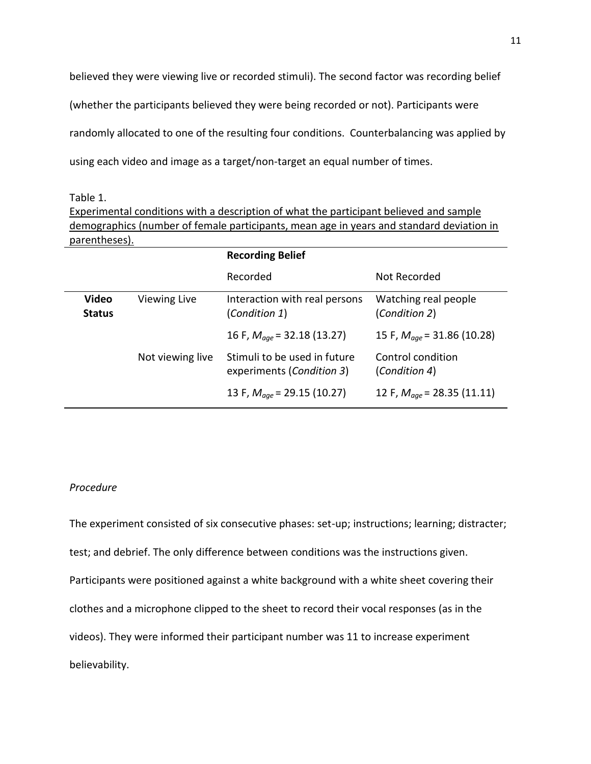believed they were viewing live or recorded stimuli). The second factor was recording belief (whether the participants believed they were being recorded or not). Participants were randomly allocated to one of the resulting four conditions. Counterbalancing was applied by using each video and image as a target/non-target an equal number of times.

Table 1.

Experimental conditions with a description of what the participant believed and sample demographics (number of female participants, mean age in years and standard deviation in parentheses).

|                               |                     | <b>Recording Belief</b>                                   |                                        |  |
|-------------------------------|---------------------|-----------------------------------------------------------|----------------------------------------|--|
|                               |                     | Recorded                                                  | Not Recorded                           |  |
| <b>Video</b><br><b>Status</b> | <b>Viewing Live</b> | Interaction with real persons<br>(Condition 1)            | Watching real people<br>(Condition 2)  |  |
|                               |                     | 16 F, $M_{\text{000}}$ = 32.18 (13.27)                    | 15 F, $M_{\text{000}}$ = 31.86 (10.28) |  |
|                               | Not viewing live    | Stimuli to be used in future<br>experiments (Condition 3) | Control condition<br>(Condition 4)     |  |
|                               |                     | 13 F, $M_{age}$ = 29.15 (10.27)                           | 12 F, $M_{\text{00e}}$ = 28.35 (11.11) |  |

# *Procedure*

The experiment consisted of six consecutive phases: set-up; instructions; learning; distracter; test; and debrief. The only difference between conditions was the instructions given. Participants were positioned against a white background with a white sheet covering their clothes and a microphone clipped to the sheet to record their vocal responses (as in the videos). They were informed their participant number was 11 to increase experiment believability.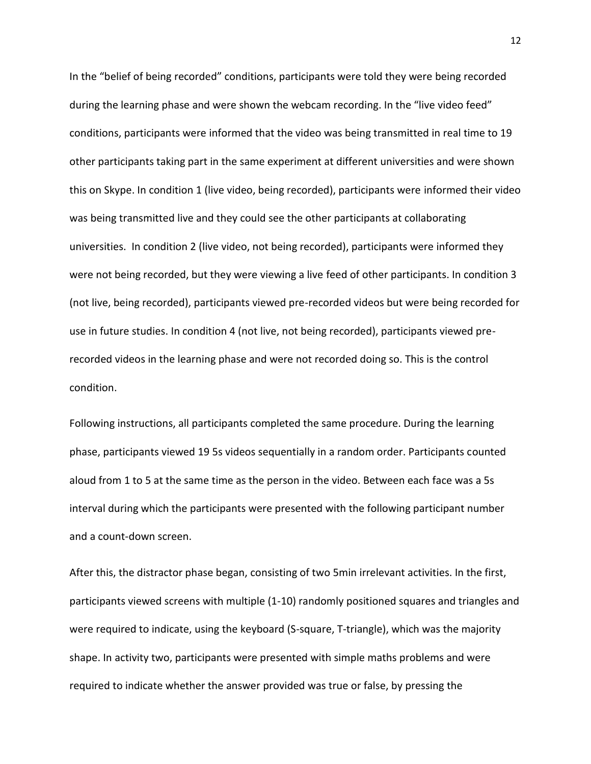In the "belief of being recorded" conditions, participants were told they were being recorded during the learning phase and were shown the webcam recording. In the "live video feed" conditions, participants were informed that the video was being transmitted in real time to 19 other participants taking part in the same experiment at different universities and were shown this on Skype. In condition 1 (live video, being recorded), participants were informed their video was being transmitted live and they could see the other participants at collaborating universities. In condition 2 (live video, not being recorded), participants were informed they were not being recorded, but they were viewing a live feed of other participants. In condition 3 (not live, being recorded), participants viewed pre-recorded videos but were being recorded for use in future studies. In condition 4 (not live, not being recorded), participants viewed prerecorded videos in the learning phase and were not recorded doing so. This is the control condition.

Following instructions, all participants completed the same procedure. During the learning phase, participants viewed 19 5s videos sequentially in a random order. Participants counted aloud from 1 to 5 at the same time as the person in the video. Between each face was a 5s interval during which the participants were presented with the following participant number and a count-down screen.

After this, the distractor phase began, consisting of two 5min irrelevant activities. In the first, participants viewed screens with multiple (1-10) randomly positioned squares and triangles and were required to indicate, using the keyboard (S-square, T-triangle), which was the majority shape. In activity two, participants were presented with simple maths problems and were required to indicate whether the answer provided was true or false, by pressing the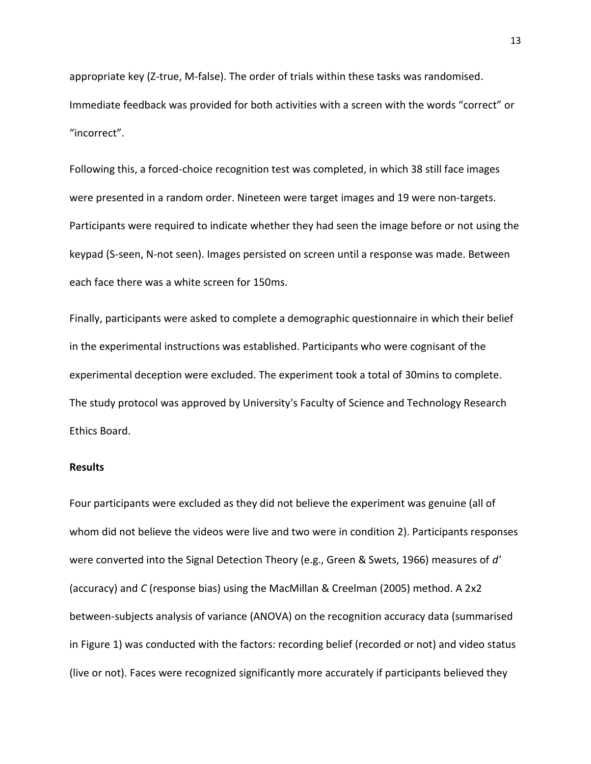appropriate key (Z-true, M-false). The order of trials within these tasks was randomised. Immediate feedback was provided for both activities with a screen with the words "correct" or "incorrect".

Following this, a forced-choice recognition test was completed, in which 38 still face images were presented in a random order. Nineteen were target images and 19 were non-targets. Participants were required to indicate whether they had seen the image before or not using the keypad (S-seen, N-not seen). Images persisted on screen until a response was made. Between each face there was a white screen for 150ms.

Finally, participants were asked to complete a demographic questionnaire in which their belief in the experimental instructions was established. Participants who were cognisant of the experimental deception were excluded. The experiment took a total of 30mins to complete. The study protocol was approved by University's Faculty of Science and Technology Research Ethics Board.

### **Results**

Four participants were excluded as they did not believe the experiment was genuine (all of whom did not believe the videos were live and two were in condition 2). Participants responses were converted into the Signal Detection Theory (e.g., Green & Swets, 1966) measures of *d'*  (accuracy) and *C* (response bias) using the MacMillan & Creelman (2005) method. A 2x2 between-subjects analysis of variance (ANOVA) on the recognition accuracy data (summarised in Figure 1) was conducted with the factors: recording belief (recorded or not) and video status (live or not). Faces were recognized significantly more accurately if participants believed they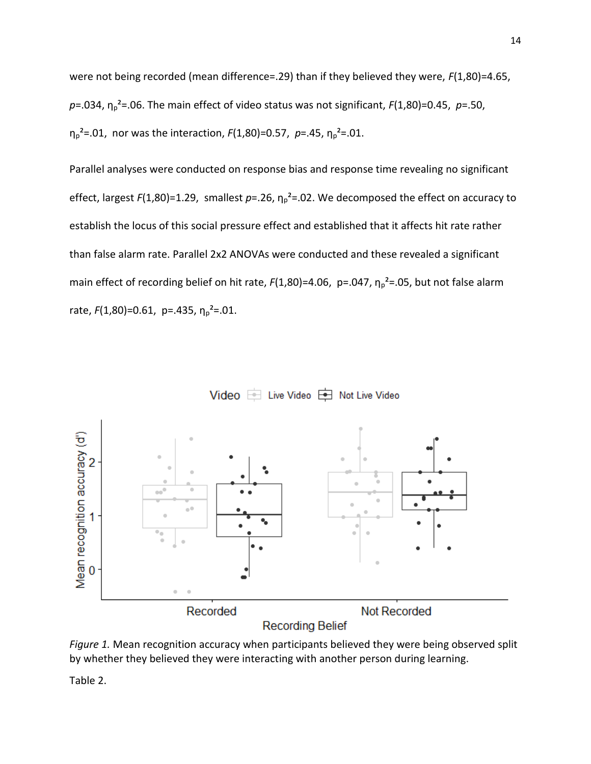were not being recorded (mean difference=.29) than if they believed they were, *F*(1,80)=4.65,  $p = .034$ ,  $\eta_p^2 = .06$ . The main effect of video status was not significant,  $F(1,80) = 0.45$ ,  $p = .50$ , η<sub>ρ</sub><sup>2</sup>=.01, nor was the interaction, *F*(1,80)=0.57, *p*=.45, η<sub>ρ</sub><sup>2</sup>=.01.

Parallel analyses were conducted on response bias and response time revealing no significant effect, largest  $F(1,80)=1.29$ , smallest  $p=.26$ ,  $\eta_p^2=.02$ . We decomposed the effect on accuracy to establish the locus of this social pressure effect and established that it affects hit rate rather than false alarm rate. Parallel 2x2 ANOVAs were conducted and these revealed a significant main effect of recording belief on hit rate, *F*(1,80)=4.06, p=.047, η<sub>p</sub><sup>2</sup>=.05, but not false alarm rate,  $F(1,80) = 0.61$ , p=.435,  $\eta_p^2 = 0.01$ .

Video is Live Video is Not Live Video



*Figure 1.* Mean recognition accuracy when participants believed they were being observed split by whether they believed they were interacting with another person during learning.

Table 2.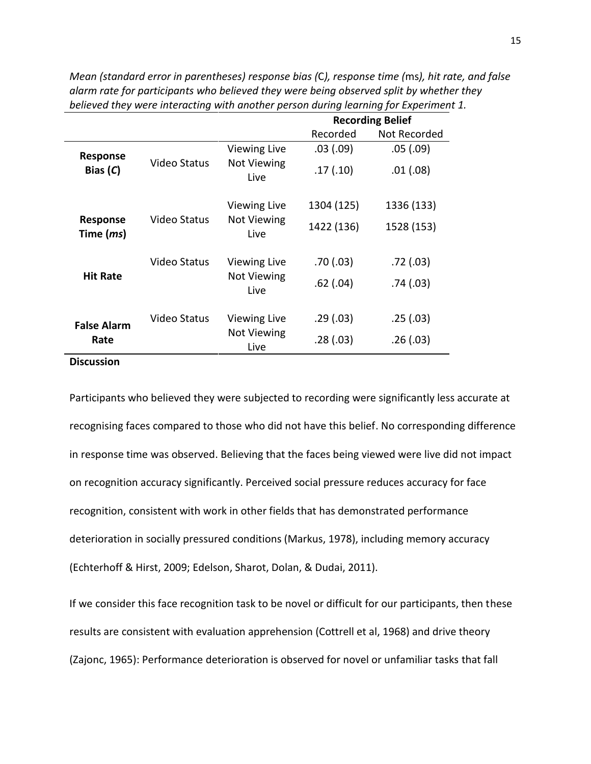|                                       |                     |                            | <b>Recording Belief</b> |              |
|---------------------------------------|---------------------|----------------------------|-------------------------|--------------|
|                                       |                     |                            | Recorded                | Not Recorded |
|                                       |                     | Viewing Live               | .03(.09)                | .05(.09)     |
| Response<br>Bias $(C)$                | Video Status        | <b>Not Viewing</b><br>Live | .17(.10)                | .01(.08)     |
|                                       |                     | <b>Viewing Live</b>        | 1304 (125)              | 1336 (133)   |
| <b>Response</b><br>Time ( <i>ms</i> ) | Video Status        | Not Viewing<br>Live        | 1422 (136)              | 1528 (153)   |
|                                       | <b>Video Status</b> | <b>Viewing Live</b>        | .70(0.03)               | .72(.03)     |
| <b>Hit Rate</b>                       |                     | <b>Not Viewing</b><br>Live | $.62$ $(.04)$           | .74(.03)     |
| <b>False Alarm</b>                    | Video Status        | <b>Viewing Live</b>        | .29(.03)                | .25(.03)     |
| Rate                                  |                     | Not Viewing<br>Live        | .28(.03)                | .26(.03)     |

*Mean (standard error in parentheses) response bias (*C*), response time (*ms*), hit rate, and false alarm rate for participants who believed they were being observed split by whether they believed they were interacting with another person during learning for Experiment 1.*

# **Discussion**

Participants who believed they were subjected to recording were significantly less accurate at recognising faces compared to those who did not have this belief. No corresponding difference in response time was observed. Believing that the faces being viewed were live did not impact on recognition accuracy significantly. Perceived social pressure reduces accuracy for face recognition, consistent with work in other fields that has demonstrated performance deterioration in socially pressured conditions (Markus, 1978), including memory accuracy (Echterhoff & Hirst, 2009; Edelson, Sharot, Dolan, & Dudai, 2011).

If we consider this face recognition task to be novel or difficult for our participants, then these results are consistent with evaluation apprehension (Cottrell et al, 1968) and drive theory (Zajonc, 1965): Performance deterioration is observed for novel or unfamiliar tasks that fall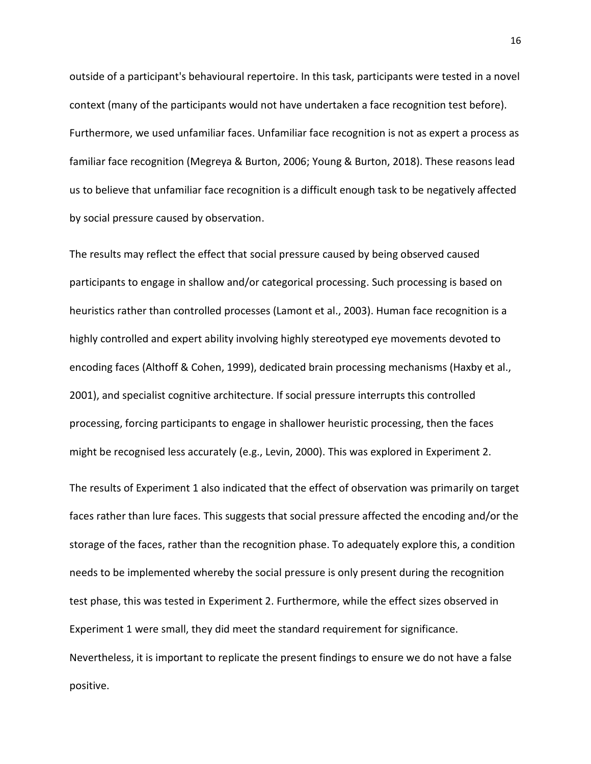outside of a participant's behavioural repertoire. In this task, participants were tested in a novel context (many of the participants would not have undertaken a face recognition test before). Furthermore, we used unfamiliar faces. Unfamiliar face recognition is not as expert a process as familiar face recognition (Megreya & Burton, 2006; Young & Burton, 2018). These reasons lead us to believe that unfamiliar face recognition is a difficult enough task to be negatively affected by social pressure caused by observation.

The results may reflect the effect that social pressure caused by being observed caused participants to engage in shallow and/or categorical processing. Such processing is based on heuristics rather than controlled processes (Lamont et al., 2003). Human face recognition is a highly controlled and expert ability involving highly stereotyped eye movements devoted to encoding faces (Althoff & Cohen, 1999), dedicated brain processing mechanisms (Haxby et al., 2001), and specialist cognitive architecture. If social pressure interrupts this controlled processing, forcing participants to engage in shallower heuristic processing, then the faces might be recognised less accurately (e.g., Levin, 2000). This was explored in Experiment 2.

The results of Experiment 1 also indicated that the effect of observation was primarily on target faces rather than lure faces. This suggests that social pressure affected the encoding and/or the storage of the faces, rather than the recognition phase. To adequately explore this, a condition needs to be implemented whereby the social pressure is only present during the recognition test phase, this was tested in Experiment 2. Furthermore, while the effect sizes observed in Experiment 1 were small, they did meet the standard requirement for significance. Nevertheless, it is important to replicate the present findings to ensure we do not have a false positive.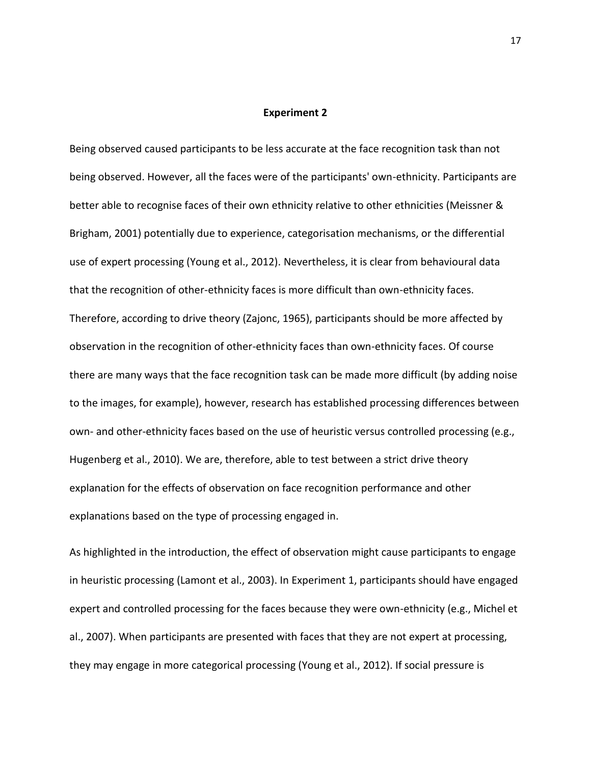#### **Experiment 2**

Being observed caused participants to be less accurate at the face recognition task than not being observed. However, all the faces were of the participants' own-ethnicity. Participants are better able to recognise faces of their own ethnicity relative to other ethnicities (Meissner & Brigham, 2001) potentially due to experience, categorisation mechanisms, or the differential use of expert processing (Young et al., 2012). Nevertheless, it is clear from behavioural data that the recognition of other-ethnicity faces is more difficult than own-ethnicity faces. Therefore, according to drive theory (Zajonc, 1965), participants should be more affected by observation in the recognition of other-ethnicity faces than own-ethnicity faces. Of course there are many ways that the face recognition task can be made more difficult (by adding noise to the images, for example), however, research has established processing differences between own- and other-ethnicity faces based on the use of heuristic versus controlled processing (e.g., Hugenberg et al., 2010). We are, therefore, able to test between a strict drive theory explanation for the effects of observation on face recognition performance and other explanations based on the type of processing engaged in.

As highlighted in the introduction, the effect of observation might cause participants to engage in heuristic processing (Lamont et al., 2003). In Experiment 1, participants should have engaged expert and controlled processing for the faces because they were own-ethnicity (e.g., Michel et al., 2007). When participants are presented with faces that they are not expert at processing, they may engage in more categorical processing (Young et al., 2012). If social pressure is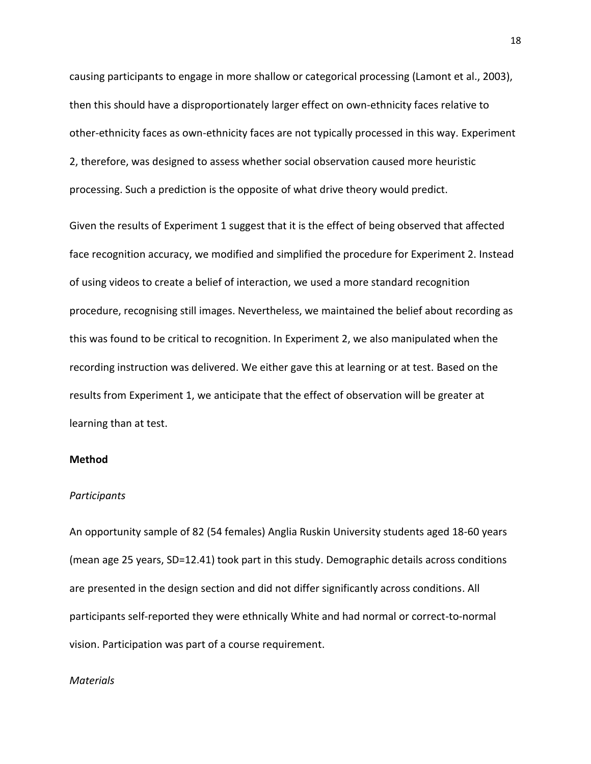causing participants to engage in more shallow or categorical processing (Lamont et al., 2003), then this should have a disproportionately larger effect on own-ethnicity faces relative to other-ethnicity faces as own-ethnicity faces are not typically processed in this way. Experiment 2, therefore, was designed to assess whether social observation caused more heuristic processing. Such a prediction is the opposite of what drive theory would predict.

Given the results of Experiment 1 suggest that it is the effect of being observed that affected face recognition accuracy, we modified and simplified the procedure for Experiment 2. Instead of using videos to create a belief of interaction, we used a more standard recognition procedure, recognising still images. Nevertheless, we maintained the belief about recording as this was found to be critical to recognition. In Experiment 2, we also manipulated when the recording instruction was delivered. We either gave this at learning or at test. Based on the results from Experiment 1, we anticipate that the effect of observation will be greater at learning than at test.

## **Method**

#### *Participants*

An opportunity sample of 82 (54 females) Anglia Ruskin University students aged 18-60 years (mean age 25 years, SD=12.41) took part in this study. Demographic details across conditions are presented in the design section and did not differ significantly across conditions. All participants self-reported they were ethnically White and had normal or correct-to-normal vision. Participation was part of a course requirement.

#### *Materials*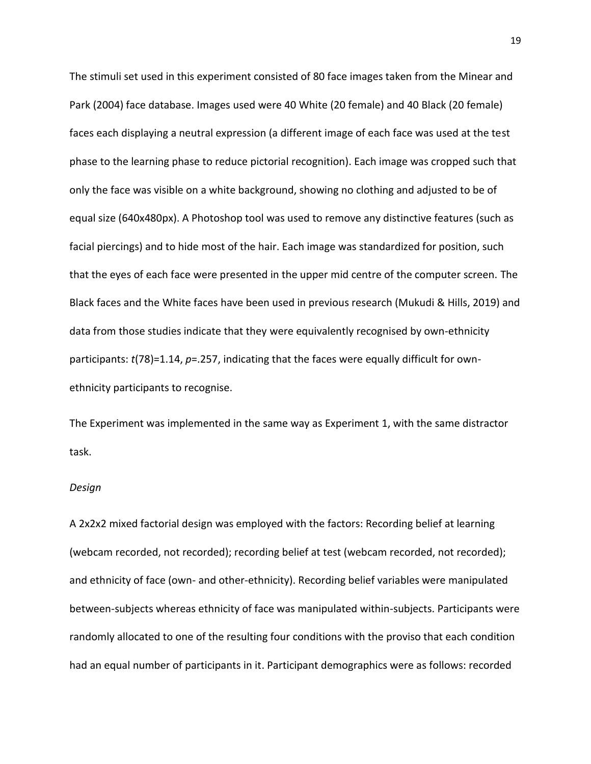The stimuli set used in this experiment consisted of 80 face images taken from the Minear and Park (2004) face database. Images used were 40 White (20 female) and 40 Black (20 female) faces each displaying a neutral expression (a different image of each face was used at the test phase to the learning phase to reduce pictorial recognition). Each image was cropped such that only the face was visible on a white background, showing no clothing and adjusted to be of equal size (640x480px). A Photoshop tool was used to remove any distinctive features (such as facial piercings) and to hide most of the hair. Each image was standardized for position, such that the eyes of each face were presented in the upper mid centre of the computer screen. The Black faces and the White faces have been used in previous research (Mukudi & Hills, 2019) and data from those studies indicate that they were equivalently recognised by own-ethnicity participants: *t*(78)=1.14, *p*=.257, indicating that the faces were equally difficult for ownethnicity participants to recognise.

The Experiment was implemented in the same way as Experiment 1, with the same distractor task.

#### *Design*

A 2x2x2 mixed factorial design was employed with the factors: Recording belief at learning (webcam recorded, not recorded); recording belief at test (webcam recorded, not recorded); and ethnicity of face (own- and other-ethnicity). Recording belief variables were manipulated between-subjects whereas ethnicity of face was manipulated within-subjects. Participants were randomly allocated to one of the resulting four conditions with the proviso that each condition had an equal number of participants in it. Participant demographics were as follows: recorded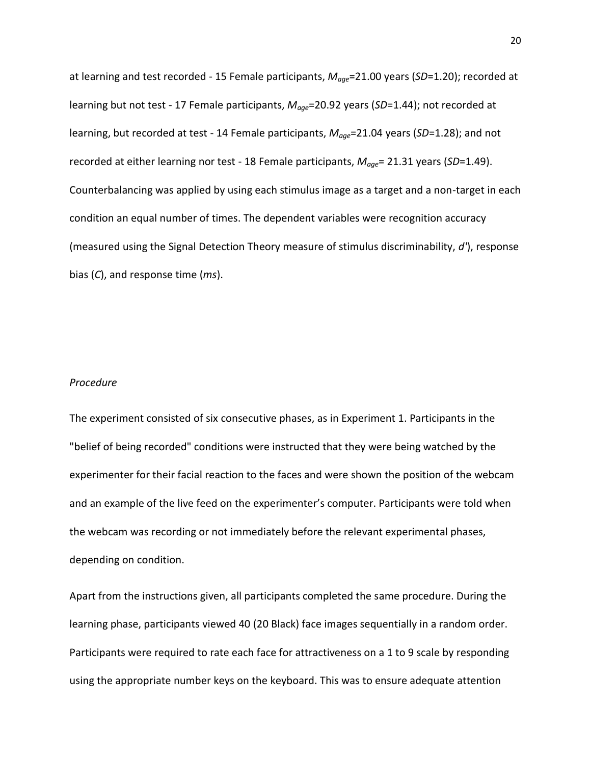at learning and test recorded - 15 Female participants, *Mage*=21.00 years (*SD*=1.20); recorded at learning but not test - 17 Female participants, *Mage*=20.92 years (*SD*=1.44); not recorded at learning, but recorded at test - 14 Female participants, *Mage*=21.04 years (*SD*=1.28); and not recorded at either learning nor test - 18 Female participants, *Mage*= 21.31 years (*SD*=1.49). Counterbalancing was applied by using each stimulus image as a target and a non-target in each condition an equal number of times. The dependent variables were recognition accuracy (measured using the Signal Detection Theory measure of stimulus discriminability, *d'*), response bias (*C*), and response time (*ms*).

#### *Procedure*

The experiment consisted of six consecutive phases, as in Experiment 1. Participants in the "belief of being recorded" conditions were instructed that they were being watched by the experimenter for their facial reaction to the faces and were shown the position of the webcam and an example of the live feed on the experimenter's computer. Participants were told when the webcam was recording or not immediately before the relevant experimental phases, depending on condition.

Apart from the instructions given, all participants completed the same procedure. During the learning phase, participants viewed 40 (20 Black) face images sequentially in a random order. Participants were required to rate each face for attractiveness on a 1 to 9 scale by responding using the appropriate number keys on the keyboard. This was to ensure adequate attention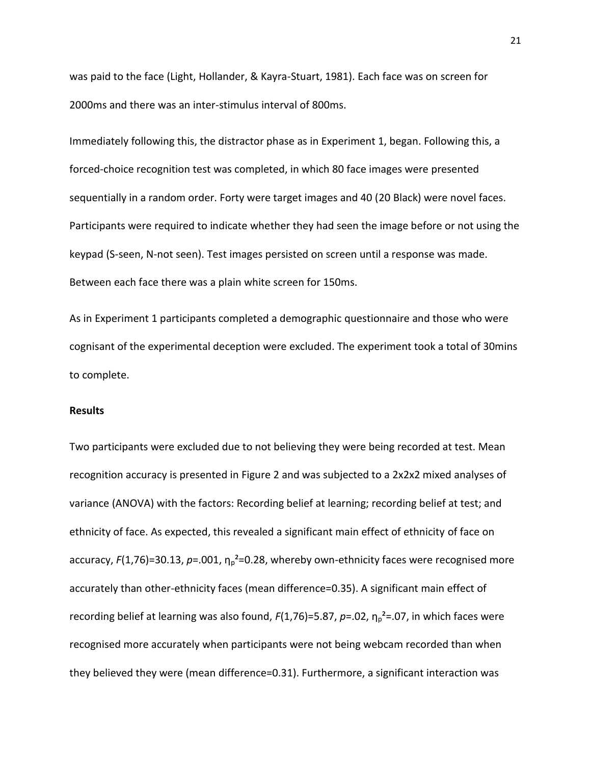was paid to the face (Light, Hollander, & Kayra-Stuart, 1981). Each face was on screen for 2000ms and there was an inter-stimulus interval of 800ms.

Immediately following this, the distractor phase as in Experiment 1, began. Following this, a forced-choice recognition test was completed, in which 80 face images were presented sequentially in a random order. Forty were target images and 40 (20 Black) were novel faces. Participants were required to indicate whether they had seen the image before or not using the keypad (S-seen, N-not seen). Test images persisted on screen until a response was made. Between each face there was a plain white screen for 150ms.

As in Experiment 1 participants completed a demographic questionnaire and those who were cognisant of the experimental deception were excluded. The experiment took a total of 30mins to complete.

## **Results**

Two participants were excluded due to not believing they were being recorded at test. Mean recognition accuracy is presented in Figure 2 and was subjected to a 2x2x2 mixed analyses of variance (ANOVA) with the factors: Recording belief at learning; recording belief at test; and ethnicity of face. As expected, this revealed a significant main effect of ethnicity of face on accuracy,  $F(1,76)=30.13$ ,  $p=.001$ ,  $\eta_0^2=0.28$ , whereby own-ethnicity faces were recognised more accurately than other-ethnicity faces (mean difference=0.35). A significant main effect of recording belief at learning was also found, *F*(1,76)=5.87, *p*=.02, η<sub>p</sub><sup>2</sup>=.07, in which faces were recognised more accurately when participants were not being webcam recorded than when they believed they were (mean difference=0.31). Furthermore, a significant interaction was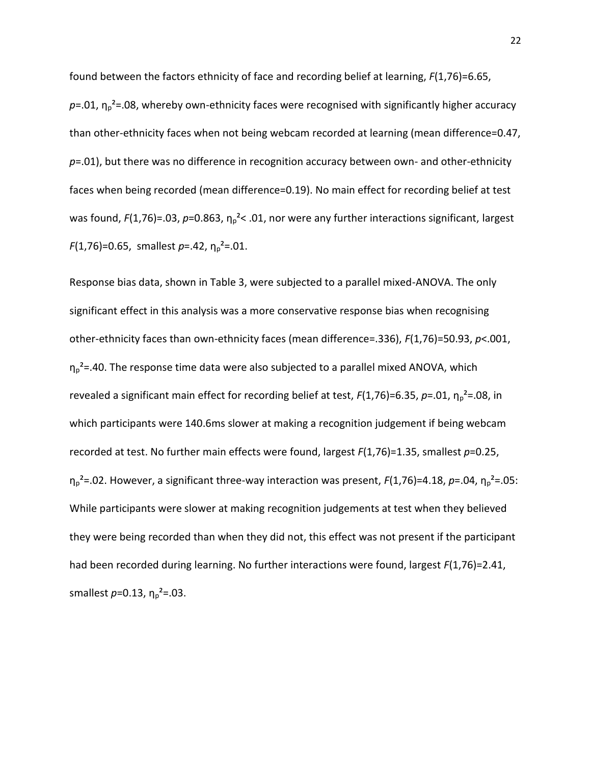found between the factors ethnicity of face and recording belief at learning, *F*(1,76)=6.65,  $p=0.01$ ,  $\eta_p^2$ =.08, whereby own-ethnicity faces were recognised with significantly higher accuracy than other-ethnicity faces when not being webcam recorded at learning (mean difference=0.47, *p*=.01), but there was no difference in recognition accuracy between own- and other-ethnicity faces when being recorded (mean difference=0.19). No main effect for recording belief at test was found, *F*(1,76)=.03, *p*=0.863, η<sub>p</sub><sup>2</sup>< .01, nor were any further interactions significant, largest  $F(1,76)$ =0.65, smallest  $p$ =.42,  $\eta_p^2$ =.01.

Response bias data, shown in Table 3, were subjected to a parallel mixed-ANOVA. The only significant effect in this analysis was a more conservative response bias when recognising other-ethnicity faces than own-ethnicity faces (mean difference=.336), *F*(1,76)=50.93, *p*<.001,  $\eta_p^2$ =.40. The response time data were also subjected to a parallel mixed ANOVA, which revealed a significant main effect for recording belief at test, *F*(1,76)=6.35, *p*=.01, η<sub>p</sub><sup>2</sup>=.08, in which participants were 140.6ms slower at making a recognition judgement if being webcam recorded at test. No further main effects were found, largest *F*(1,76)=1.35, smallest *p*=0.25,  $η<sub>p</sub><sup>2</sup>=.02$ . However, a significant three-way interaction was present, *F*(1,76)=4.18, *p*=.04, η<sub>p</sub><sup>2</sup>=.05: While participants were slower at making recognition judgements at test when they believed they were being recorded than when they did not, this effect was not present if the participant had been recorded during learning. No further interactions were found, largest *F*(1,76)=2.41, smallest  $p=0.13$ ,  $\eta_p^2 = .03$ .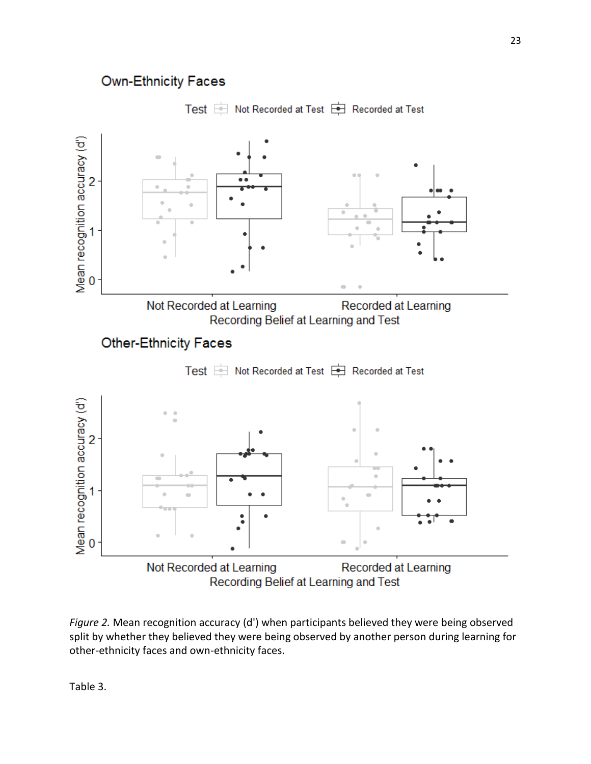# **Own-Ethnicity Faces**





*Figure 2.* Mean recognition accuracy (d') when participants believed they were being observed split by whether they believed they were being observed by another person during learning for other-ethnicity faces and own-ethnicity faces.

Table 3.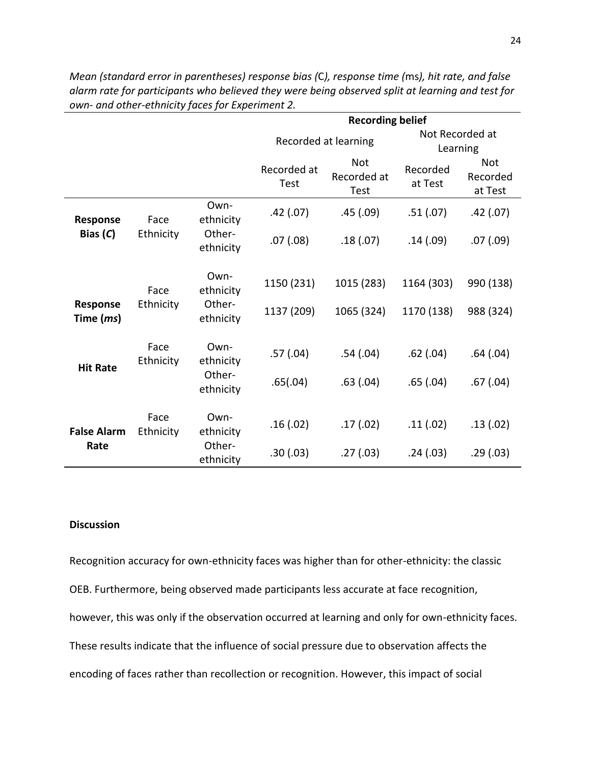|                                       |                   |                     | <b>Recording belief</b>    |                                          |                             |                                   |
|---------------------------------------|-------------------|---------------------|----------------------------|------------------------------------------|-----------------------------|-----------------------------------|
|                                       |                   |                     | Recorded at learning       |                                          | Not Recorded at<br>Learning |                                   |
|                                       |                   |                     | Recorded at<br><b>Test</b> | <b>Not</b><br>Recorded at<br><b>Test</b> | Recorded<br>at Test         | <b>Not</b><br>Recorded<br>at Test |
| Response                              | Face              | Own-<br>ethnicity   | .42(.07)                   | .45(.09)                                 | .51(.07)                    | .42(.07)                          |
| Bias $(C)$                            | Ethnicity         | Other-<br>ethnicity | .07(0.08)                  | .18(0.07)                                | .14(.09)                    | .07(0.09)                         |
|                                       | Face              | Own-<br>ethnicity   | 1150 (231)                 | 1015 (283)                               | 1164 (303)                  | 990 (138)                         |
| <b>Response</b><br>Time ( <i>ms</i> ) | Ethnicity         | Other-<br>ethnicity | 1137 (209)                 | 1065 (324)                               | 1170 (138)                  | 988 (324)                         |
| <b>Hit Rate</b>                       | Face<br>Ethnicity | Own-<br>ethnicity   | .57(0.04)                  | .54(.04)                                 | $.62$ $(.04)$               | .64(.04)                          |
|                                       |                   | Other-<br>ethnicity | .65(.04)                   | .63(0.04)                                | .65(.04)                    | .67(0.04)                         |
| <b>False Alarm</b>                    | Face<br>Ethnicity | Own-<br>ethnicity   | .16(0.02)                  | .17(02)                                  | .11(.02)                    | .13(.02)                          |
| Rate                                  |                   | Other-<br>ethnicity | .30(.03)                   | .27(0.03)                                | .24(.03)                    | .29(.03)                          |

*Mean (standard error in parentheses) response bias (*C*), response time (*ms*), hit rate, and false alarm rate for participants who believed they were being observed split at learning and test for own- and other-ethnicity faces for Experiment 2.*

# **Discussion**

Recognition accuracy for own-ethnicity faces was higher than for other-ethnicity: the classic OEB. Furthermore, being observed made participants less accurate at face recognition, however, this was only if the observation occurred at learning and only for own-ethnicity faces. These results indicate that the influence of social pressure due to observation affects the encoding of faces rather than recollection or recognition. However, this impact of social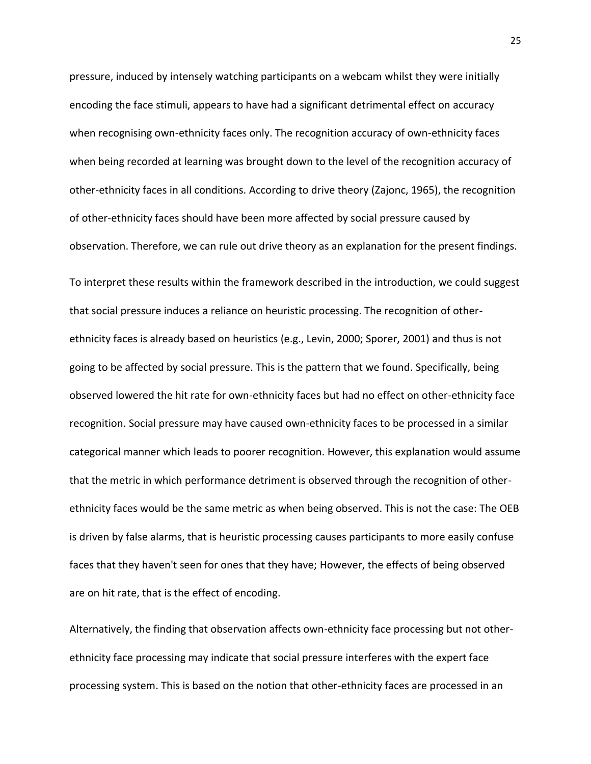pressure, induced by intensely watching participants on a webcam whilst they were initially encoding the face stimuli, appears to have had a significant detrimental effect on accuracy when recognising own-ethnicity faces only. The recognition accuracy of own-ethnicity faces when being recorded at learning was brought down to the level of the recognition accuracy of other-ethnicity faces in all conditions. According to drive theory (Zajonc, 1965), the recognition of other-ethnicity faces should have been more affected by social pressure caused by observation. Therefore, we can rule out drive theory as an explanation for the present findings. To interpret these results within the framework described in the introduction, we could suggest that social pressure induces a reliance on heuristic processing. The recognition of otherethnicity faces is already based on heuristics (e.g., Levin, 2000; Sporer, 2001) and thus is not going to be affected by social pressure. This is the pattern that we found. Specifically, being observed lowered the hit rate for own-ethnicity faces but had no effect on other-ethnicity face recognition. Social pressure may have caused own-ethnicity faces to be processed in a similar categorical manner which leads to poorer recognition. However, this explanation would assume that the metric in which performance detriment is observed through the recognition of otherethnicity faces would be the same metric as when being observed. This is not the case: The OEB is driven by false alarms, that is heuristic processing causes participants to more easily confuse faces that they haven't seen for ones that they have; However, the effects of being observed are on hit rate, that is the effect of encoding.

Alternatively, the finding that observation affects own-ethnicity face processing but not otherethnicity face processing may indicate that social pressure interferes with the expert face processing system. This is based on the notion that other-ethnicity faces are processed in an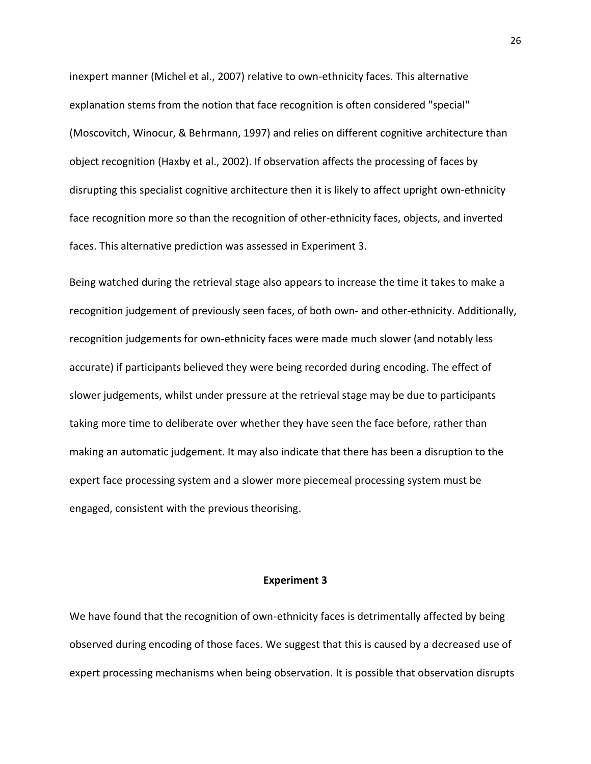inexpert manner (Michel et al., 2007) relative to own-ethnicity faces. This alternative explanation stems from the notion that face recognition is often considered "special" (Moscovitch, Winocur, & Behrmann, 1997) and relies on different cognitive architecture than object recognition (Haxby et al., 2002). If observation affects the processing of faces by disrupting this specialist cognitive architecture then it is likely to affect upright own-ethnicity face recognition more so than the recognition of other-ethnicity faces, objects, and inverted faces. This alternative prediction was assessed in Experiment 3.

Being watched during the retrieval stage also appears to increase the time it takes to make a recognition judgement of previously seen faces, of both own- and other-ethnicity. Additionally, recognition judgements for own-ethnicity faces were made much slower (and notably less accurate) if participants believed they were being recorded during encoding. The effect of slower judgements, whilst under pressure at the retrieval stage may be due to participants taking more time to deliberate over whether they have seen the face before, rather than making an automatic judgement. It may also indicate that there has been a disruption to the expert face processing system and a slower more piecemeal processing system must be engaged, consistent with the previous theorising.

#### **Experiment 3**

We have found that the recognition of own-ethnicity faces is detrimentally affected by being observed during encoding of those faces. We suggest that this is caused by a decreased use of expert processing mechanisms when being observation. It is possible that observation disrupts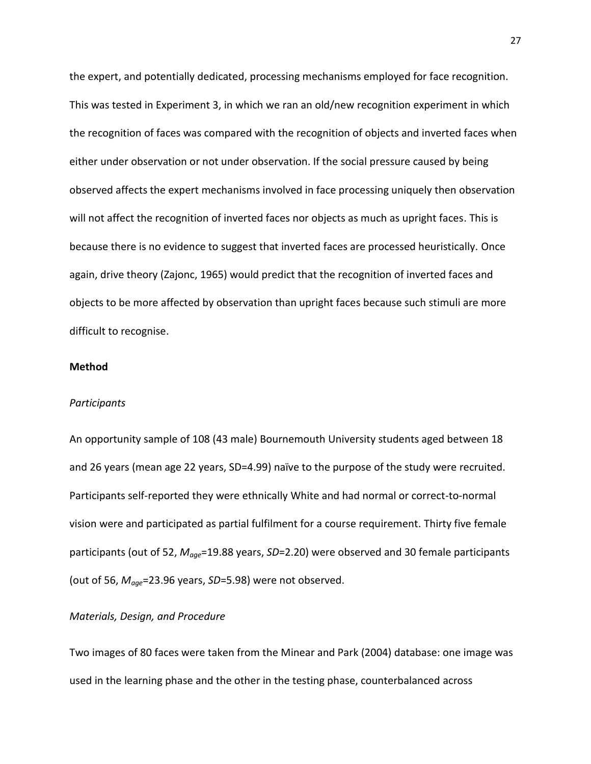the expert, and potentially dedicated, processing mechanisms employed for face recognition. This was tested in Experiment 3, in which we ran an old/new recognition experiment in which the recognition of faces was compared with the recognition of objects and inverted faces when either under observation or not under observation. If the social pressure caused by being observed affects the expert mechanisms involved in face processing uniquely then observation will not affect the recognition of inverted faces nor objects as much as upright faces. This is because there is no evidence to suggest that inverted faces are processed heuristically. Once again, drive theory (Zajonc, 1965) would predict that the recognition of inverted faces and objects to be more affected by observation than upright faces because such stimuli are more difficult to recognise.

# **Method**

#### *Participants*

An opportunity sample of 108 (43 male) Bournemouth University students aged between 18 and 26 years (mean age 22 years, SD=4.99) naïve to the purpose of the study were recruited. Participants self-reported they were ethnically White and had normal or correct-to-normal vision were and participated as partial fulfilment for a course requirement. Thirty five female participants (out of 52, *Mage*=19.88 years, *SD*=2.20) were observed and 30 female participants (out of 56, *Mage*=23.96 years, *SD*=5.98) were not observed.

## *Materials, Design, and Procedure*

Two images of 80 faces were taken from the Minear and Park (2004) database: one image was used in the learning phase and the other in the testing phase, counterbalanced across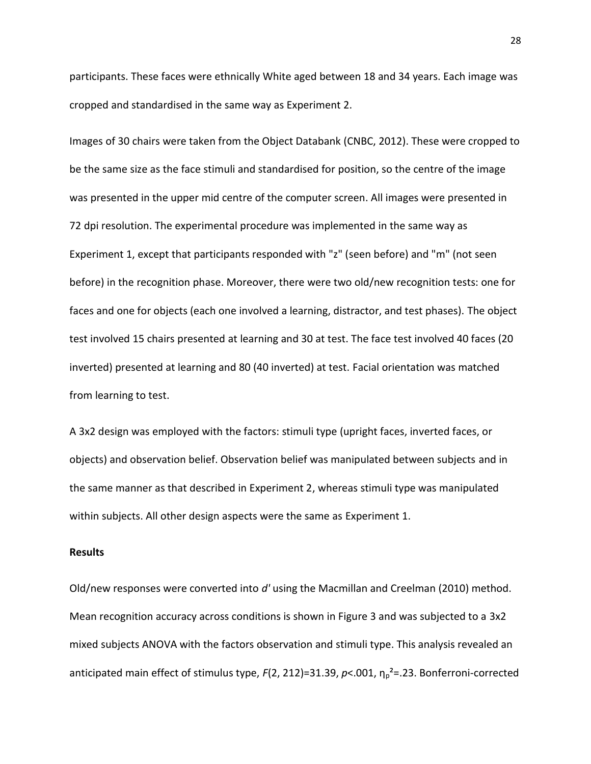participants. These faces were ethnically White aged between 18 and 34 years. Each image was cropped and standardised in the same way as Experiment 2.

Images of 30 chairs were taken from the Object Databank (CNBC, 2012). These were cropped to be the same size as the face stimuli and standardised for position, so the centre of the image was presented in the upper mid centre of the computer screen. All images were presented in 72 dpi resolution. The experimental procedure was implemented in the same way as Experiment 1, except that participants responded with "z" (seen before) and "m" (not seen before) in the recognition phase. Moreover, there were two old/new recognition tests: one for faces and one for objects (each one involved a learning, distractor, and test phases). The object test involved 15 chairs presented at learning and 30 at test. The face test involved 40 faces (20 inverted) presented at learning and 80 (40 inverted) at test. Facial orientation was matched from learning to test.

A 3x2 design was employed with the factors: stimuli type (upright faces, inverted faces, or objects) and observation belief. Observation belief was manipulated between subjects and in the same manner as that described in Experiment 2, whereas stimuli type was manipulated within subjects. All other design aspects were the same as Experiment 1.

# **Results**

Old/new responses were converted into *d'* using the Macmillan and Creelman (2010) method. Mean recognition accuracy across conditions is shown in Figure 3 and was subjected to a 3x2 mixed subjects ANOVA with the factors observation and stimuli type. This analysis revealed an anticipated main effect of stimulus type, *F*(2, 212)=31.39, *p*<.001,  $\eta_p^2$ =.23. Bonferroni-corrected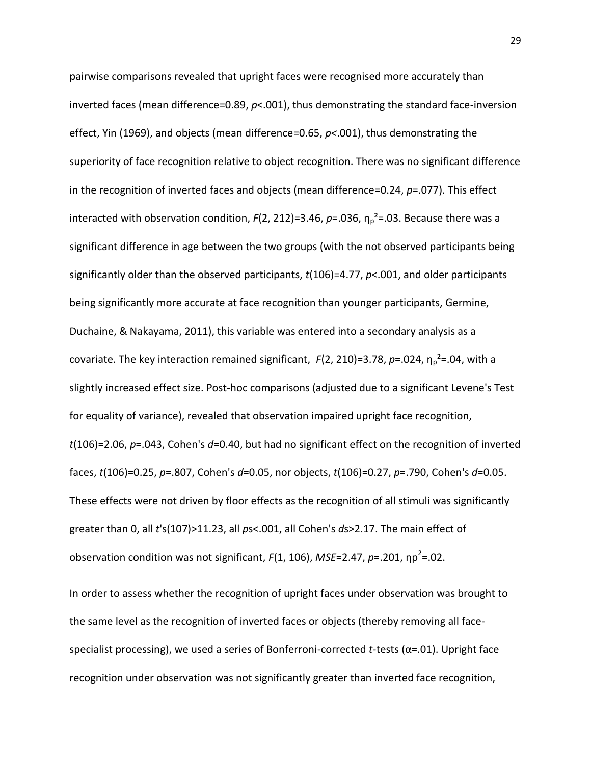pairwise comparisons revealed that upright faces were recognised more accurately than inverted faces (mean difference=0.89, *p*<.001), thus demonstrating the standard face-inversion effect, Yin (1969), and objects (mean difference=0.65, *p<*.001), thus demonstrating the superiority of face recognition relative to object recognition. There was no significant difference in the recognition of inverted faces and objects (mean difference=0.24, *p*=.077). This effect interacted with observation condition,  $F(2, 212)=3.46$ ,  $p=.036$ ,  $\eta_p^2=.03$ . Because there was a significant difference in age between the two groups (with the not observed participants being significantly older than the observed participants, *t*(106)=4.77, *p*<.001, and older participants being significantly more accurate at face recognition than younger participants, Germine, Duchaine, & Nakayama, 2011), this variable was entered into a secondary analysis as a covariate. The key interaction remained significant, *F*(2, 210)=3.78, *p*=.024, η<sub>p</sub><sup>2</sup>=.04, with a slightly increased effect size. Post-hoc comparisons (adjusted due to a significant Levene's Test for equality of variance), revealed that observation impaired upright face recognition, *t*(106)=2.06, *p*=.043, Cohen's *d*=0.40, but had no significant effect on the recognition of inverted faces, *t*(106)=0.25, *p*=.807, Cohen's *d*=0.05, nor objects, *t*(106)=0.27, *p*=.790, Cohen's *d*=0.05. These effects were not driven by floor effects as the recognition of all stimuli was significantly greater than 0, all *t*'s(107)>11.23, all *p*s<.001, all Cohen's *d*s>2.17. The main effect of observation condition was not significant, *F*(1, 106), *MSE*=2.47, *p*=.201, ηp<sup>2</sup>=.02.

In order to assess whether the recognition of upright faces under observation was brought to the same level as the recognition of inverted faces or objects (thereby removing all facespecialist processing), we used a series of Bonferroni-corrected *t*-tests (α=.01). Upright face recognition under observation was not significantly greater than inverted face recognition,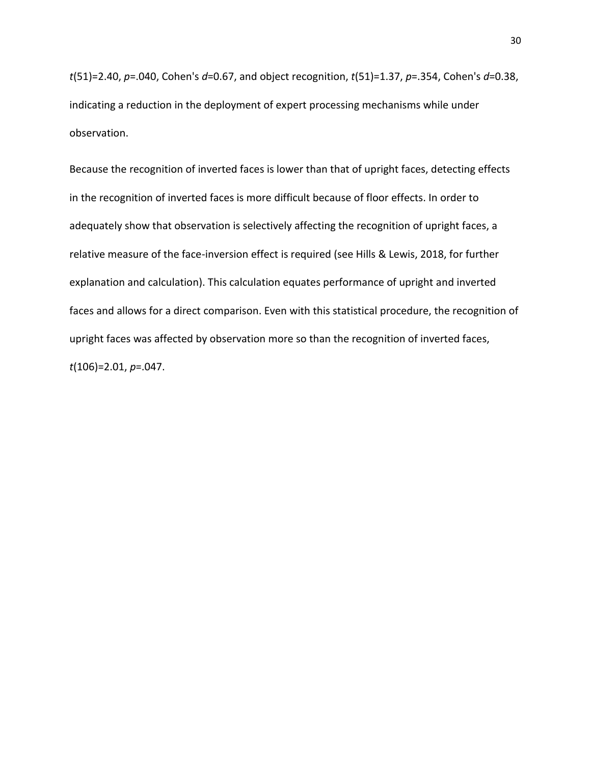*t*(51)=2.40, *p*=.040, Cohen's *d*=0.67, and object recognition, *t*(51)=1.37, *p*=.354, Cohen's *d*=0.38, indicating a reduction in the deployment of expert processing mechanisms while under observation.

Because the recognition of inverted faces is lower than that of upright faces, detecting effects in the recognition of inverted faces is more difficult because of floor effects. In order to adequately show that observation is selectively affecting the recognition of upright faces, a relative measure of the face-inversion effect is required (see Hills & Lewis, 2018, for further explanation and calculation). This calculation equates performance of upright and inverted faces and allows for a direct comparison. Even with this statistical procedure, the recognition of upright faces was affected by observation more so than the recognition of inverted faces, *t*(106)=2.01, *p*=.047.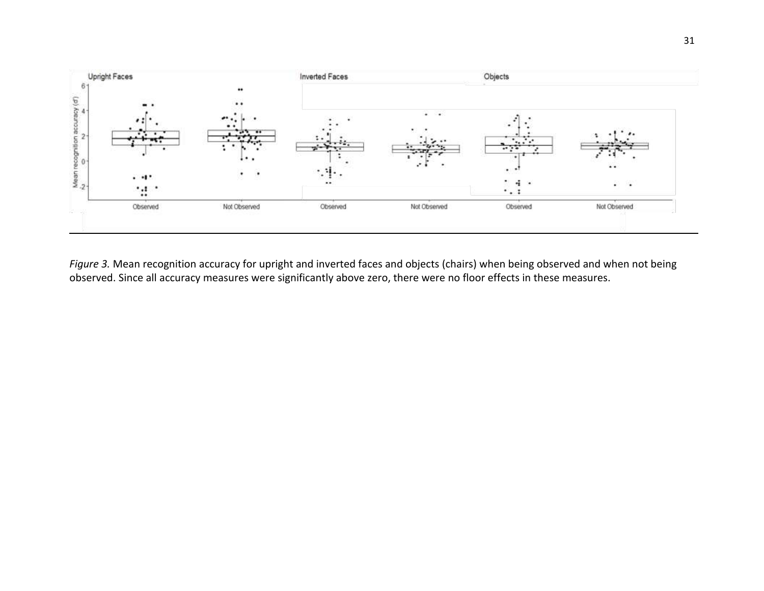

*Figure 3.* Mean recognition accuracy for upright and inverted faces and objects (chairs) when being observed and when not being observed. Since all accuracy measures were significantly above zero, there were no floor effects in these measures.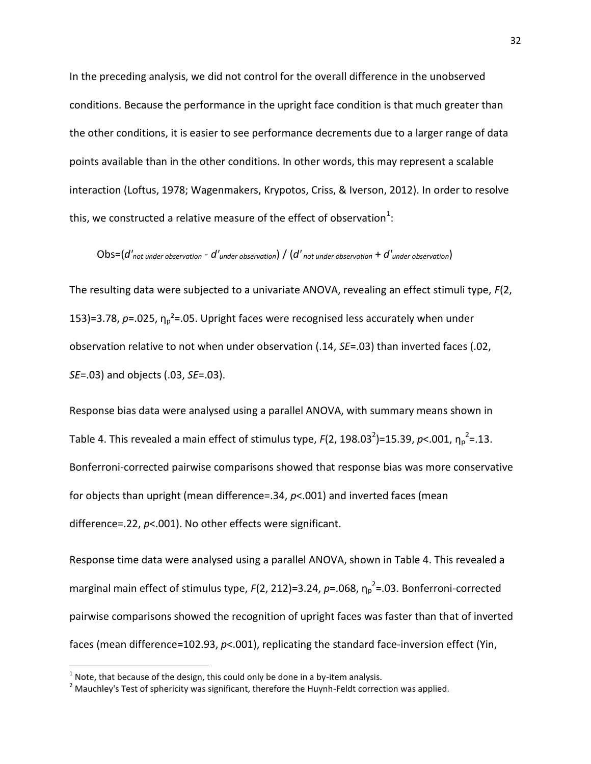In the preceding analysis, we did not control for the overall difference in the unobserved conditions. Because the performance in the upright face condition is that much greater than the other conditions, it is easier to see performance decrements due to a larger range of data points available than in the other conditions. In other words, this may represent a scalable interaction (Loftus, 1978; Wagenmakers, Krypotos, Criss, & Iverson, 2012). In order to resolve this, we constructed a relative measure of the effect of observation $^1$ :

# Obs=(*d'not under observation* - *d'under observation*) / (*d' not under observation* + *d'under observation*)

The resulting data were subjected to a univariate ANOVA, revealing an effect stimuli type, *F*(2, 153)=3.78,  $p=.025$ ,  $\eta_0^2=.05$ . Upright faces were recognised less accurately when under observation relative to not when under observation (.14, *SE*=.03) than inverted faces (.02, *SE*=.03) and objects (.03, *SE*=.03).

Response bias data were analysed using a parallel ANOVA, with summary means shown in Table 4. This revealed a main effect of stimulus type,  $F(2, 198.03^2)$ =15.39, p<.001,  $\eta_p^2$ =.13. Bonferroni-corrected pairwise comparisons showed that response bias was more conservative for objects than upright (mean difference=.34, *p*<.001) and inverted faces (mean difference=.22, *p*<.001). No other effects were significant.

Response time data were analysed using a parallel ANOVA, shown in Table 4. This revealed a marginal main effect of stimulus type, *F*(2, 212)=3.24, *p*=.068, η<sub>p</sub><sup>2</sup>=.03. Bonferroni-corrected pairwise comparisons showed the recognition of upright faces was faster than that of inverted faces (mean difference=102.93,  $p$ <.001), replicating the standard face-inversion effect (Yin,

l

 $^1$  Note, that because of the design, this could only be done in a by-item analysis.

 $2$  Mauchlev's Test of sphericity was significant, therefore the Huynh-Feldt correction was applied.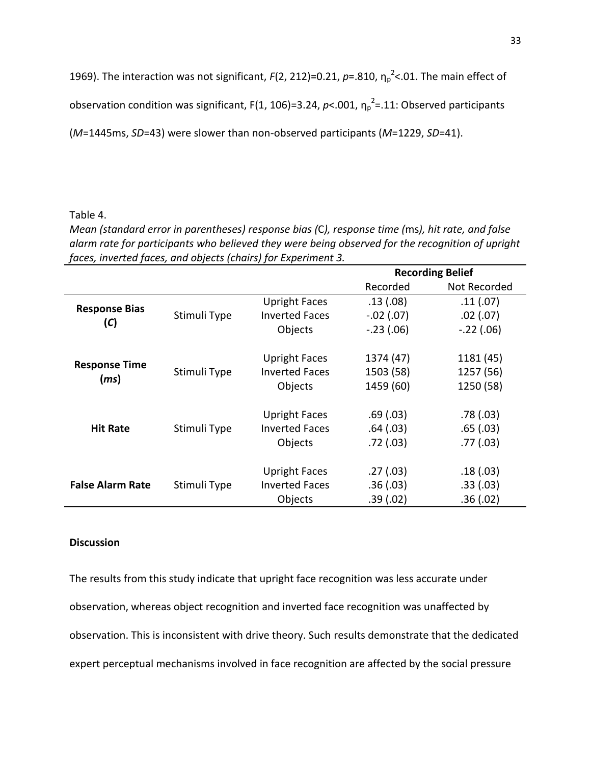1969). The interaction was not significant,  $F(2, 212) = 0.21$ ,  $p = .810$ ,  $\eta_p^2$ <.01. The main effect of

observation condition was significant, F(1, 106)=3.24,  $p<$  001,  $\eta_p^2$ =.11: Observed participants

(*M*=1445ms, *SD*=43) were slower than non-observed participants (*M*=1229, *SD*=41).

#### Table 4.

*Mean (standard error in parentheses) response bias (*C*), response time (*ms*), hit rate, and false alarm rate for participants who believed they were being observed for the recognition of upright faces, inverted faces, and objects (chairs) for Experiment 3.*

|                         |              |                       | <b>Recording Belief</b> |               |
|-------------------------|--------------|-----------------------|-------------------------|---------------|
|                         |              |                       | Recorded                | Not Recorded  |
|                         |              | <b>Upright Faces</b>  | .13(0.08)               | .11(.07)      |
| <b>Response Bias</b>    | Stimuli Type | <b>Inverted Faces</b> | $-.02(.07)$             | $.02$ $(.07)$ |
| (C)                     |              | Objects               | $-.23(.06)$             | $-.22(.06)$   |
| <b>Response Time</b>    |              | <b>Upright Faces</b>  | 1374 (47)               | 1181 (45)     |
| (ms)                    | Stimuli Type | <b>Inverted Faces</b> | 1503 (58)               | 1257 (56)     |
|                         |              | Objects               | 1459 (60)               | 1250 (58)     |
|                         |              | <b>Upright Faces</b>  | .69(.03)                | .78(0.03)     |
| <b>Hit Rate</b>         | Stimuli Type | <b>Inverted Faces</b> | .64(.03)                | .65(.03)      |
|                         |              | Objects               | .72(.03)                | .77(03)       |
|                         |              | <b>Upright Faces</b>  | .27(.03)                | .18(0.03)     |
| <b>False Alarm Rate</b> | Stimuli Type | <b>Inverted Faces</b> | .36(.03)                | .33(.03)      |
|                         |              | Objects               | .39(.02)                | .36(.02)      |

# **Discussion**

The results from this study indicate that upright face recognition was less accurate under observation, whereas object recognition and inverted face recognition was unaffected by observation. This is inconsistent with drive theory. Such results demonstrate that the dedicated expert perceptual mechanisms involved in face recognition are affected by the social pressure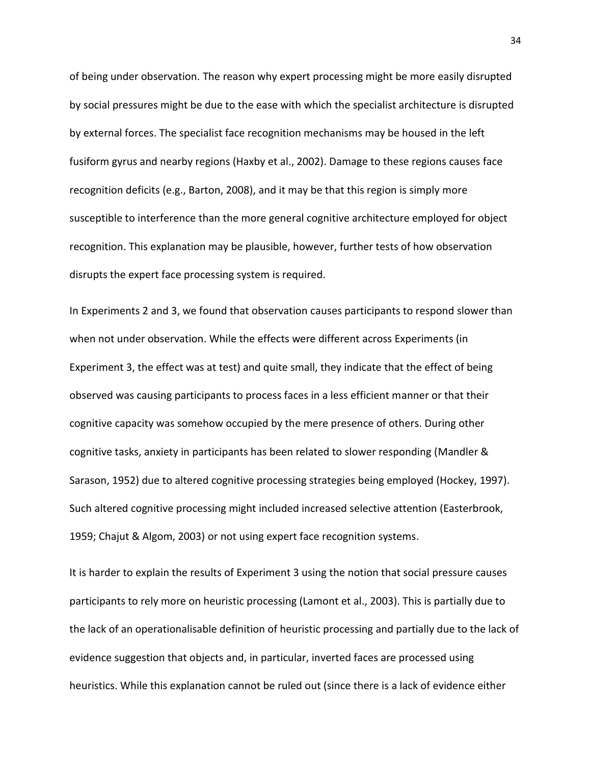of being under observation. The reason why expert processing might be more easily disrupted by social pressures might be due to the ease with which the specialist architecture is disrupted by external forces. The specialist face recognition mechanisms may be housed in the left fusiform gyrus and nearby regions (Haxby et al., 2002). Damage to these regions causes face recognition deficits (e.g., Barton, 2008), and it may be that this region is simply more susceptible to interference than the more general cognitive architecture employed for object recognition. This explanation may be plausible, however, further tests of how observation disrupts the expert face processing system is required.

In Experiments 2 and 3, we found that observation causes participants to respond slower than when not under observation. While the effects were different across Experiments (in Experiment 3, the effect was at test) and quite small, they indicate that the effect of being observed was causing participants to process faces in a less efficient manner or that their cognitive capacity was somehow occupied by the mere presence of others. During other cognitive tasks, anxiety in participants has been related to slower responding (Mandler & Sarason, 1952) due to altered cognitive processing strategies being employed (Hockey, 1997). Such altered cognitive processing might included increased selective attention (Easterbrook, 1959; Chajut & Algom, 2003) or not using expert face recognition systems.

It is harder to explain the results of Experiment 3 using the notion that social pressure causes participants to rely more on heuristic processing (Lamont et al., 2003). This is partially due to the lack of an operationalisable definition of heuristic processing and partially due to the lack of evidence suggestion that objects and, in particular, inverted faces are processed using heuristics. While this explanation cannot be ruled out (since there is a lack of evidence either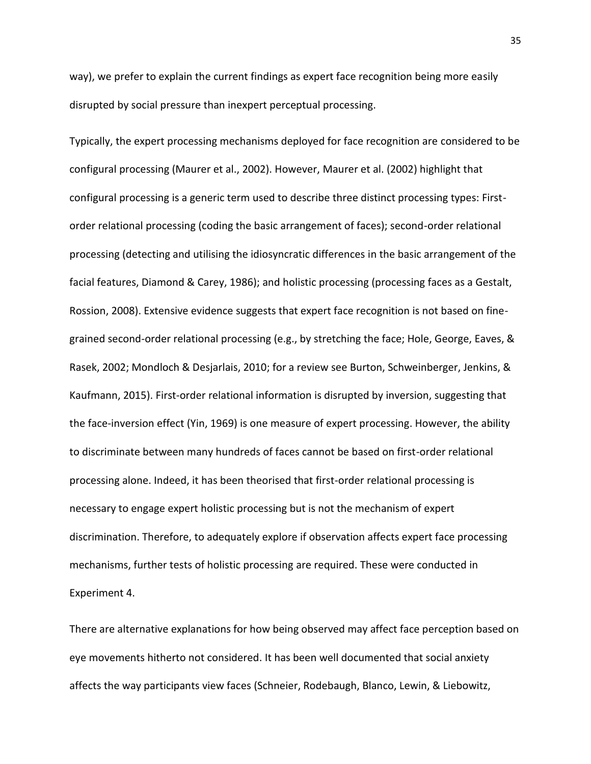way), we prefer to explain the current findings as expert face recognition being more easily disrupted by social pressure than inexpert perceptual processing.

Typically, the expert processing mechanisms deployed for face recognition are considered to be configural processing (Maurer et al., 2002). However, Maurer et al. (2002) highlight that configural processing is a generic term used to describe three distinct processing types: Firstorder relational processing (coding the basic arrangement of faces); second-order relational processing (detecting and utilising the idiosyncratic differences in the basic arrangement of the facial features, Diamond & Carey, 1986); and holistic processing (processing faces as a Gestalt, Rossion, 2008). Extensive evidence suggests that expert face recognition is not based on finegrained second-order relational processing (e.g., by stretching the face; Hole, George, Eaves, & Rasek, 2002; Mondloch & Desjarlais, 2010; for a review see Burton, Schweinberger, Jenkins, & Kaufmann, 2015). First-order relational information is disrupted by inversion, suggesting that the face-inversion effect (Yin, 1969) is one measure of expert processing. However, the ability to discriminate between many hundreds of faces cannot be based on first-order relational processing alone. Indeed, it has been theorised that first-order relational processing is necessary to engage expert holistic processing but is not the mechanism of expert discrimination. Therefore, to adequately explore if observation affects expert face processing mechanisms, further tests of holistic processing are required. These were conducted in Experiment 4.

There are alternative explanations for how being observed may affect face perception based on eye movements hitherto not considered. It has been well documented that social anxiety affects the way participants view faces (Schneier, Rodebaugh, Blanco, Lewin, & Liebowitz,

35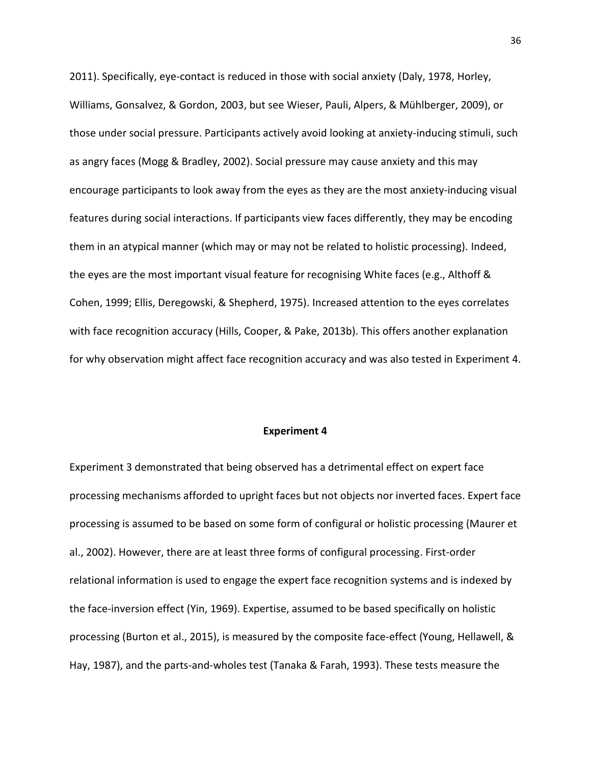2011). Specifically, eye-contact is reduced in those with social anxiety (Daly, 1978, Horley, Williams, Gonsalvez, & Gordon, 2003, but see Wieser, Pauli, Alpers, & Mühlberger, 2009), or those under social pressure. Participants actively avoid looking at anxiety-inducing stimuli, such as angry faces (Mogg & Bradley, 2002). Social pressure may cause anxiety and this may encourage participants to look away from the eyes as they are the most anxiety-inducing visual features during social interactions. If participants view faces differently, they may be encoding them in an atypical manner (which may or may not be related to holistic processing). Indeed, the eyes are the most important visual feature for recognising White faces (e.g., Althoff & Cohen, 1999; Ellis, Deregowski, & Shepherd, 1975). Increased attention to the eyes correlates with face recognition accuracy (Hills, Cooper, & Pake, 2013b). This offers another explanation for why observation might affect face recognition accuracy and was also tested in Experiment 4.

#### **Experiment 4**

Experiment 3 demonstrated that being observed has a detrimental effect on expert face processing mechanisms afforded to upright faces but not objects nor inverted faces. Expert face processing is assumed to be based on some form of configural or holistic processing (Maurer et al., 2002). However, there are at least three forms of configural processing. First-order relational information is used to engage the expert face recognition systems and is indexed by the face-inversion effect (Yin, 1969). Expertise, assumed to be based specifically on holistic processing (Burton et al., 2015), is measured by the composite face-effect (Young, Hellawell, & Hay, 1987), and the parts-and-wholes test (Tanaka & Farah, 1993). These tests measure the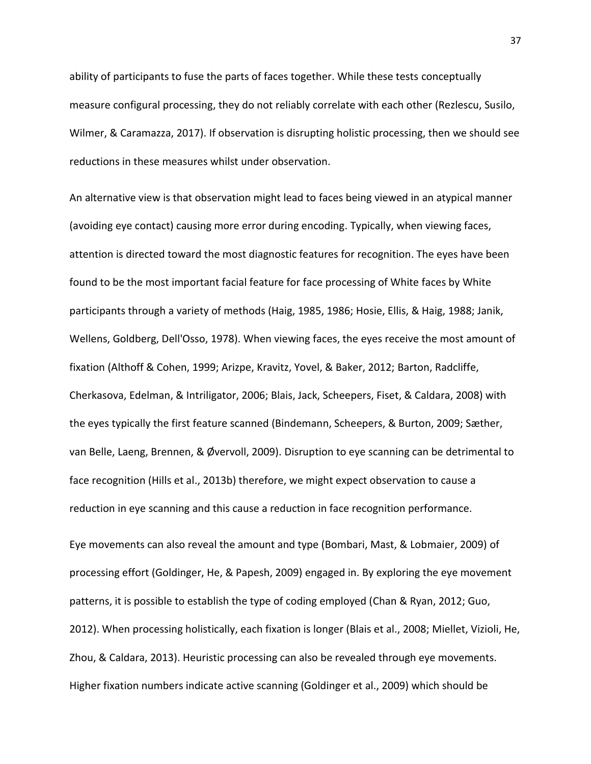ability of participants to fuse the parts of faces together. While these tests conceptually measure configural processing, they do not reliably correlate with each other (Rezlescu, Susilo, Wilmer, & Caramazza, 2017). If observation is disrupting holistic processing, then we should see reductions in these measures whilst under observation.

An alternative view is that observation might lead to faces being viewed in an atypical manner (avoiding eye contact) causing more error during encoding. Typically, when viewing faces, attention is directed toward the most diagnostic features for recognition. The eyes have been found to be the most important facial feature for face processing of White faces by White participants through a variety of methods (Haig, 1985, 1986; Hosie, Ellis, & Haig, 1988; Janik, Wellens, Goldberg, Dell'Osso, 1978). When viewing faces, the eyes receive the most amount of fixation (Althoff & Cohen, 1999; Arizpe, Kravitz, Yovel, & Baker, 2012; Barton, Radcliffe, Cherkasova, Edelman, & Intriligator, 2006; Blais, Jack, Scheepers, Fiset, & Caldara, 2008) with the eyes typically the first feature scanned (Bindemann, Scheepers, & Burton, 2009; Sæther, van Belle, Laeng, Brennen, & Øvervoll, 2009). Disruption to eye scanning can be detrimental to face recognition (Hills et al., 2013b) therefore, we might expect observation to cause a reduction in eye scanning and this cause a reduction in face recognition performance.

Eye movements can also reveal the amount and type (Bombari, Mast, & Lobmaier, 2009) of processing effort (Goldinger, He, & Papesh, 2009) engaged in. By exploring the eye movement patterns, it is possible to establish the type of coding employed (Chan & Ryan, 2012; Guo, 2012). When processing holistically, each fixation is longer (Blais et al., 2008; Miellet, Vizioli, He, Zhou, & Caldara, 2013). Heuristic processing can also be revealed through eye movements. Higher fixation numbers indicate active scanning (Goldinger et al., 2009) which should be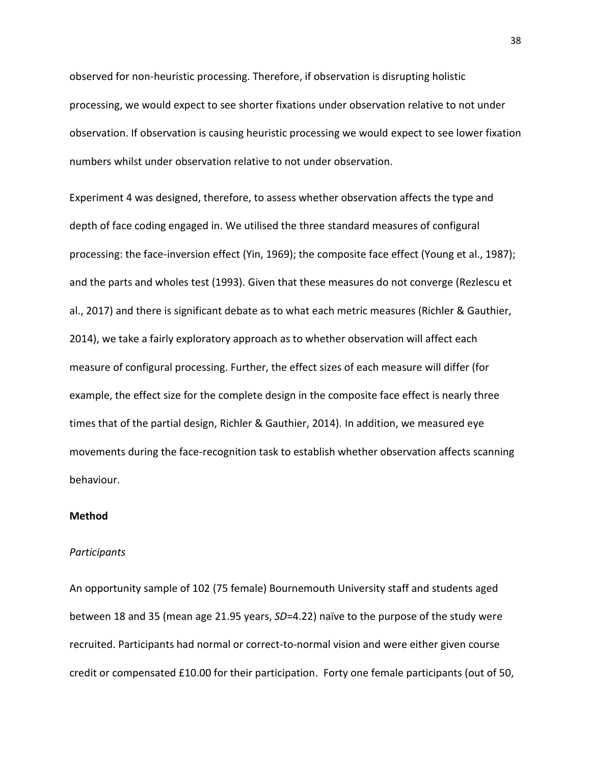observed for non-heuristic processing. Therefore, if observation is disrupting holistic processing, we would expect to see shorter fixations under observation relative to not under observation. If observation is causing heuristic processing we would expect to see lower fixation numbers whilst under observation relative to not under observation.

Experiment 4 was designed, therefore, to assess whether observation affects the type and depth of face coding engaged in. We utilised the three standard measures of configural processing: the face-inversion effect (Yin, 1969); the composite face effect (Young et al., 1987); and the parts and wholes test (1993). Given that these measures do not converge (Rezlescu et al., 2017) and there is significant debate as to what each metric measures (Richler & Gauthier, 2014), we take a fairly exploratory approach as to whether observation will affect each measure of configural processing. Further, the effect sizes of each measure will differ (for example, the effect size for the complete design in the composite face effect is nearly three times that of the partial design, Richler & Gauthier, 2014). In addition, we measured eye movements during the face-recognition task to establish whether observation affects scanning behaviour.

#### **Method**

#### *Participants*

An opportunity sample of 102 (75 female) Bournemouth University staff and students aged between 18 and 35 (mean age 21.95 years, *SD*=4.22) naïve to the purpose of the study were recruited. Participants had normal or correct-to-normal vision and were either given course credit or compensated £10.00 for their participation. Forty one female participants (out of 50,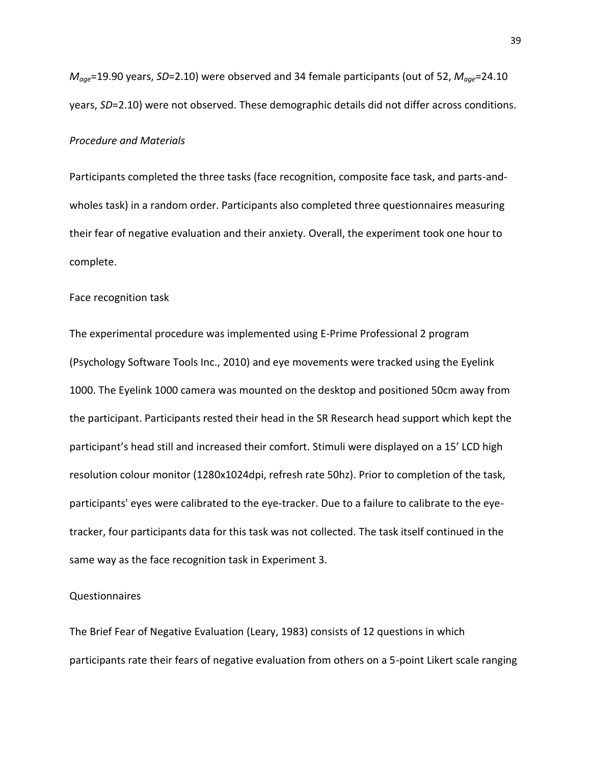*Mage*=19.90 years, *SD*=2.10) were observed and 34 female participants (out of 52, *Mage*=24.10 years, *SD*=2.10) were not observed. These demographic details did not differ across conditions.

#### *Procedure and Materials*

Participants completed the three tasks (face recognition, composite face task, and parts-andwholes task) in a random order. Participants also completed three questionnaires measuring their fear of negative evaluation and their anxiety. Overall, the experiment took one hour to complete.

#### Face recognition task

The experimental procedure was implemented using E-Prime Professional 2 program (Psychology Software Tools Inc., 2010) and eye movements were tracked using the Eyelink 1000. The Eyelink 1000 camera was mounted on the desktop and positioned 50cm away from the participant. Participants rested their head in the SR Research head support which kept the participant's head still and increased their comfort. Stimuli were displayed on a 15' LCD high resolution colour monitor (1280x1024dpi, refresh rate 50hz). Prior to completion of the task, participants' eyes were calibrated to the eye-tracker. Due to a failure to calibrate to the eyetracker, four participants data for this task was not collected. The task itself continued in the same way as the face recognition task in Experiment 3.

#### Questionnaires

The Brief Fear of Negative Evaluation (Leary, 1983) consists of 12 questions in which participants rate their fears of negative evaluation from others on a 5-point Likert scale ranging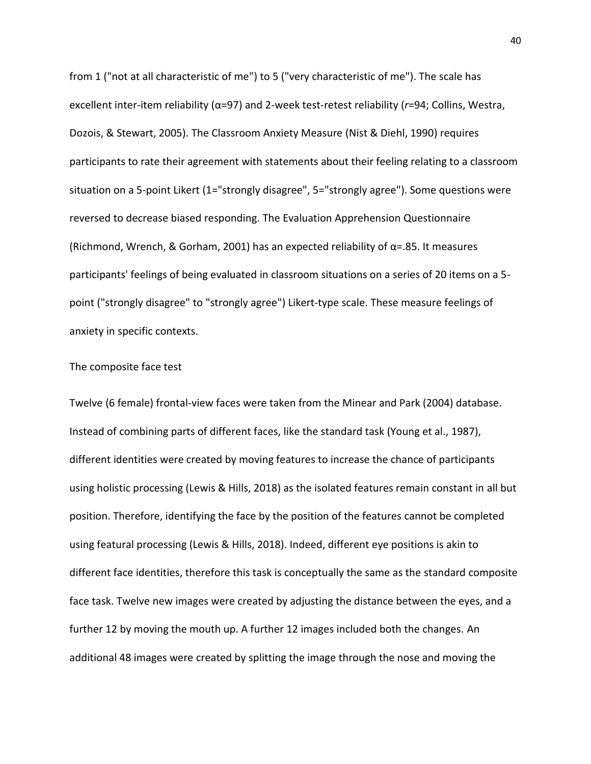from 1 ("not at all characteristic of me") to 5 ("very characteristic of me"). The scale has excellent inter-item reliability (α=97) and 2-week test-retest reliability (*r*=94; Collins, Westra, Dozois, & Stewart, 2005). The Classroom Anxiety Measure (Nist & Diehl, 1990) requires participants to rate their agreement with statements about their feeling relating to a classroom situation on a 5-point Likert (1="strongly disagree", 5="strongly agree"). Some questions were reversed to decrease biased responding. The Evaluation Apprehension Questionnaire (Richmond, Wrench, & Gorham, 2001) has an expected reliability of  $\alpha$ =.85. It measures participants' feelings of being evaluated in classroom situations on a series of 20 items on a 5 point ("strongly disagree" to "strongly agree") Likert-type scale. These measure feelings of anxiety in specific contexts.

#### The composite face test

Twelve (6 female) frontal-view faces were taken from the Minear and Park (2004) database. Instead of combining parts of different faces, like the standard task (Young et al., 1987), different identities were created by moving features to increase the chance of participants using holistic processing (Lewis & Hills, 2018) as the isolated features remain constant in all but position. Therefore, identifying the face by the position of the features cannot be completed using featural processing (Lewis & Hills, 2018). Indeed, different eye positions is akin to different face identities, therefore this task is conceptually the same as the standard composite face task. Twelve new images were created by adjusting the distance between the eyes, and a further 12 by moving the mouth up. A further 12 images included both the changes. An additional 48 images were created by splitting the image through the nose and moving the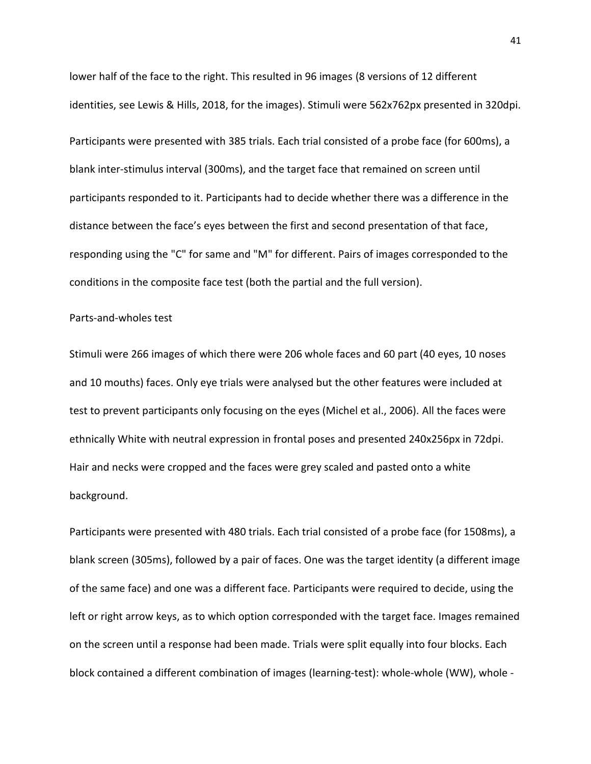lower half of the face to the right. This resulted in 96 images (8 versions of 12 different identities, see Lewis & Hills, 2018, for the images). Stimuli were 562x762px presented in 320dpi. Participants were presented with 385 trials. Each trial consisted of a probe face (for 600ms), a blank inter-stimulus interval (300ms), and the target face that remained on screen until participants responded to it. Participants had to decide whether there was a difference in the distance between the face's eyes between the first and second presentation of that face, responding using the "C" for same and "M" for different. Pairs of images corresponded to the conditions in the composite face test (both the partial and the full version).

## Parts-and-wholes test

Stimuli were 266 images of which there were 206 whole faces and 60 part (40 eyes, 10 noses and 10 mouths) faces. Only eye trials were analysed but the other features were included at test to prevent participants only focusing on the eyes (Michel et al., 2006). All the faces were ethnically White with neutral expression in frontal poses and presented 240x256px in 72dpi. Hair and necks were cropped and the faces were grey scaled and pasted onto a white background.

Participants were presented with 480 trials. Each trial consisted of a probe face (for 1508ms), a blank screen (305ms), followed by a pair of faces. One was the target identity (a different image of the same face) and one was a different face. Participants were required to decide, using the left or right arrow keys, as to which option corresponded with the target face. Images remained on the screen until a response had been made. Trials were split equally into four blocks. Each block contained a different combination of images (learning-test): whole-whole (WW), whole -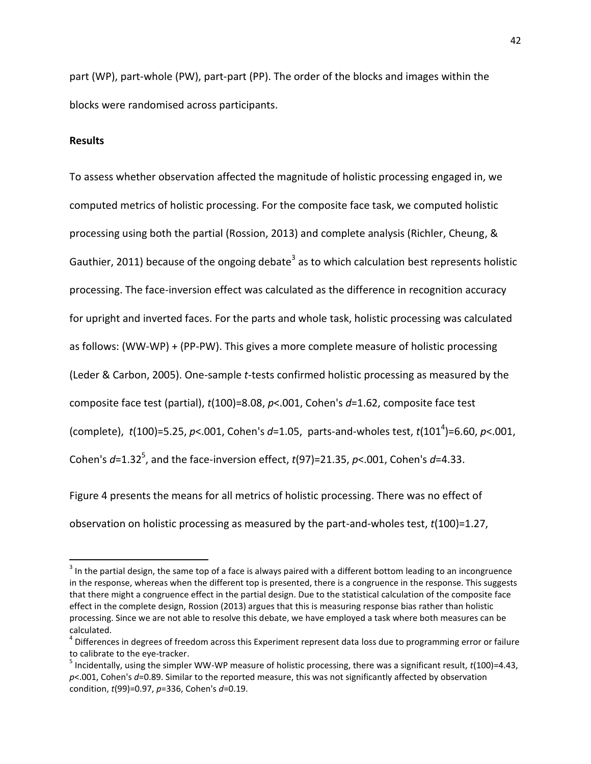part (WP), part-whole (PW), part-part (PP). The order of the blocks and images within the blocks were randomised across participants.

#### **Results**

 $\overline{a}$ 

To assess whether observation affected the magnitude of holistic processing engaged in, we computed metrics of holistic processing. For the composite face task, we computed holistic processing using both the partial (Rossion, 2013) and complete analysis (Richler, Cheung, & Gauthier, 2011) because of the ongoing debate<sup>3</sup> as to which calculation best represents holistic processing. The face-inversion effect was calculated as the difference in recognition accuracy for upright and inverted faces. For the parts and whole task, holistic processing was calculated as follows: (WW-WP) + (PP-PW). This gives a more complete measure of holistic processing (Leder & Carbon, 2005). One-sample *t*-tests confirmed holistic processing as measured by the composite face test (partial), *t*(100)=8.08, *p*<.001, Cohen's *d*=1.62, composite face test (complete), *t*(100)=5.25, *p*<.001, Cohen's *d*=1.05, parts-and-wholes test, *t*(101<sup>4</sup> )=6.60, *p*<.001, Cohen's *d*=1.32<sup>5</sup>, and the face-inversion effect, *t*(97)=21.35, *p*<.001, Cohen's *d*=4.33.

Figure 4 presents the means for all metrics of holistic processing. There was no effect of observation on holistic processing as measured by the part-and-wholes test, *t*(100)=1.27,

 $3$  In the partial design, the same top of a face is always paired with a different bottom leading to an incongruence in the response, whereas when the different top is presented, there is a congruence in the response. This suggests that there might a congruence effect in the partial design. Due to the statistical calculation of the composite face effect in the complete design, Rossion (2013) argues that this is measuring response bias rather than holistic processing. Since we are not able to resolve this debate, we have employed a task where both measures can be calculated.

<sup>&</sup>lt;sup>4</sup> Differences in degrees of freedom across this Experiment represent data loss due to programming error or failure to calibrate to the eye-tracker.

<sup>5</sup> Incidentally, using the simpler WW-WP measure of holistic processing, there was a significant result, *t*(100)=4.43, *p*<.001, Cohen's *d*=0.89. Similar to the reported measure, this was not significantly affected by observation condition, *t*(99)=0.97, *p*=336, Cohen's *d*=0.19.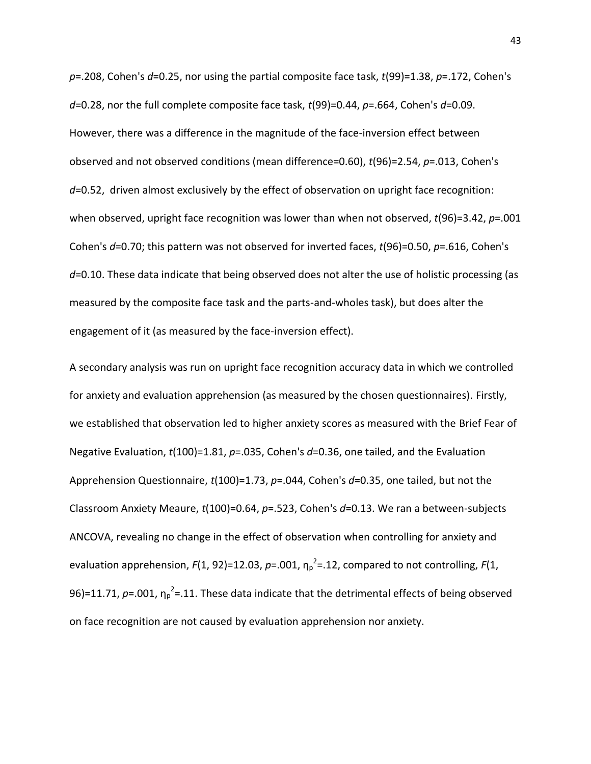*p*=.208, Cohen's *d*=0.25, nor using the partial composite face task, *t*(99)=1.38, *p*=.172, Cohen's *d*=0.28, nor the full complete composite face task, *t*(99)=0.44, *p*=.664, Cohen's *d*=0.09. However, there was a difference in the magnitude of the face-inversion effect between observed and not observed conditions (mean difference=0.60), *t*(96)=2.54, *p*=.013, Cohen's *d*=0.52, driven almost exclusively by the effect of observation on upright face recognition: when observed, upright face recognition was lower than when not observed, *t*(96)=3.42, *p*=.001 Cohen's *d*=0.70; this pattern was not observed for inverted faces, *t*(96)=0.50, *p*=.616, Cohen's *d*=0.10. These data indicate that being observed does not alter the use of holistic processing (as measured by the composite face task and the parts-and-wholes task), but does alter the engagement of it (as measured by the face-inversion effect).

A secondary analysis was run on upright face recognition accuracy data in which we controlled for anxiety and evaluation apprehension (as measured by the chosen questionnaires). Firstly, we established that observation led to higher anxiety scores as measured with the Brief Fear of Negative Evaluation, *t*(100)=1.81, *p*=.035, Cohen's *d*=0.36, one tailed, and the Evaluation Apprehension Questionnaire, *t*(100)=1.73, *p*=.044, Cohen's *d*=0.35, one tailed, but not the Classroom Anxiety Meaure, *t*(100)=0.64, *p*=.523, Cohen's *d*=0.13. We ran a between-subjects ANCOVA, revealing no change in the effect of observation when controlling for anxiety and evaluation apprehension,  $F(1, 92)$ =12.03, p=.001,  $\eta_p^2$ =.12, compared to not controlling,  $F(1, 1)$ 96)=11.71,  $p=001$ ,  $\eta_p^2$ =.11. These data indicate that the detrimental effects of being observed on face recognition are not caused by evaluation apprehension nor anxiety.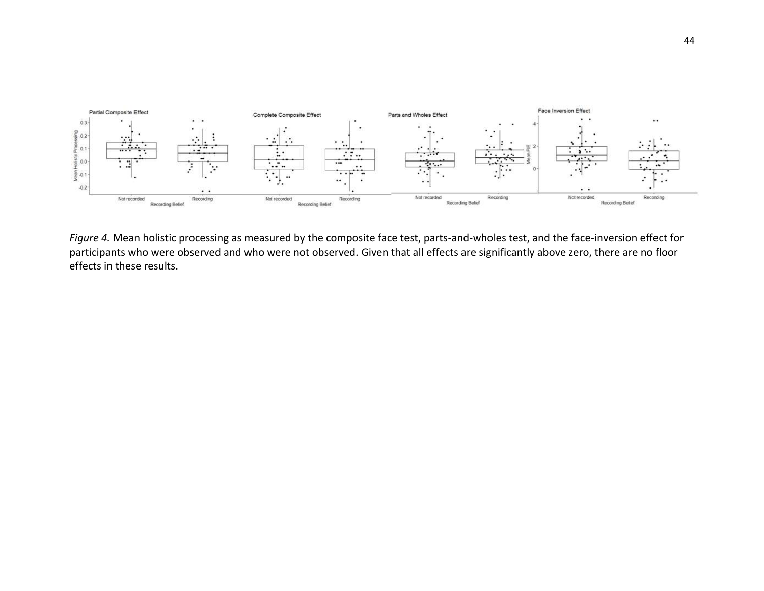

*Figure 4.* Mean holistic processing as measured by the composite face test, parts-and-wholes test, and the face-inversion effect for participants who were observed and who were not observed. Given that all effects are significantly above zero, there are no floor effects in these results.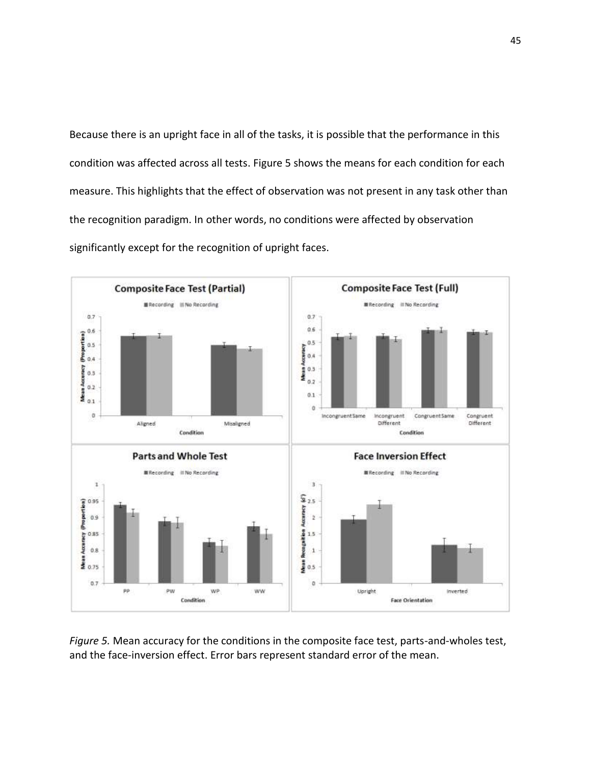Because there is an upright face in all of the tasks, it is possible that the performance in this condition was affected across all tests. Figure 5 shows the means for each condition for each measure. This highlights that the effect of observation was not present in any task other than the recognition paradigm. In other words, no conditions were affected by observation significantly except for the recognition of upright faces.



*Figure 5.* Mean accuracy for the conditions in the composite face test, parts-and-wholes test, and the face-inversion effect. Error bars represent standard error of the mean.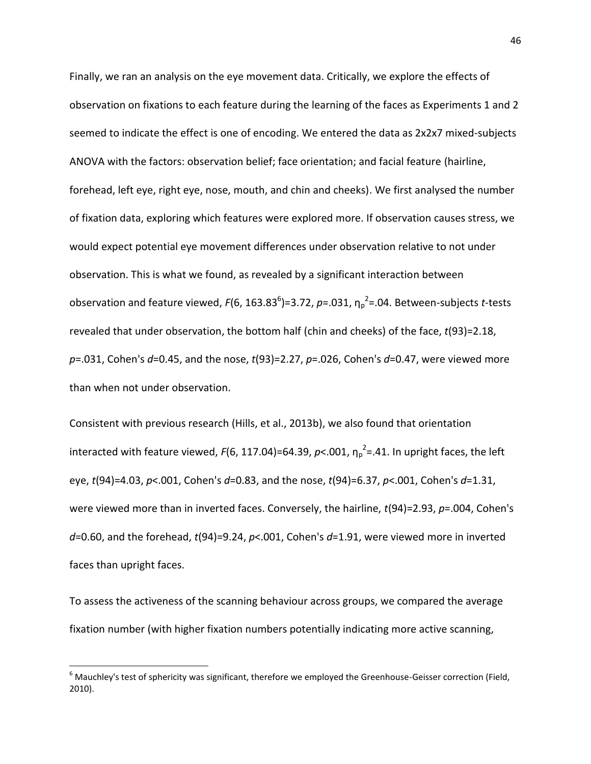Finally, we ran an analysis on the eye movement data. Critically, we explore the effects of observation on fixations to each feature during the learning of the faces as Experiments 1 and 2 seemed to indicate the effect is one of encoding. We entered the data as 2x2x7 mixed-subjects ANOVA with the factors: observation belief; face orientation; and facial feature (hairline, forehead, left eye, right eye, nose, mouth, and chin and cheeks). We first analysed the number of fixation data, exploring which features were explored more. If observation causes stress, we would expect potential eye movement differences under observation relative to not under observation. This is what we found, as revealed by a significant interaction between observation and feature viewed, F(6, 163.83<sup>6</sup>)=3.72, p=.031,  $\eta_p^2$ =.04. Between-subjects *t*-tests revealed that under observation, the bottom half (chin and cheeks) of the face, *t*(93)=2.18, *p*=.031, Cohen's *d*=0.45, and the nose, *t*(93)=2.27, *p*=.026, Cohen's *d*=0.47, were viewed more than when not under observation.

Consistent with previous research (Hills, et al., 2013b), we also found that orientation interacted with feature viewed,  $F(6, 117.04) = 64.39$ ,  $p<.001$ ,  $\eta_p^2 = .41$ . In upright faces, the left eye, *t*(94)=4.03, *p*<.001, Cohen's *d*=0.83, and the nose, *t*(94)=6.37, *p*<.001, Cohen's *d*=1.31, were viewed more than in inverted faces. Conversely, the hairline, *t*(94)=2.93, *p*=.004, Cohen's *d*=0.60, and the forehead, *t*(94)=9.24, *p*<.001, Cohen's *d*=1.91, were viewed more in inverted faces than upright faces.

To assess the activeness of the scanning behaviour across groups, we compared the average fixation number (with higher fixation numbers potentially indicating more active scanning,

l

 $6$  Mauchley's test of sphericity was significant, therefore we employed the Greenhouse-Geisser correction (Field, 2010).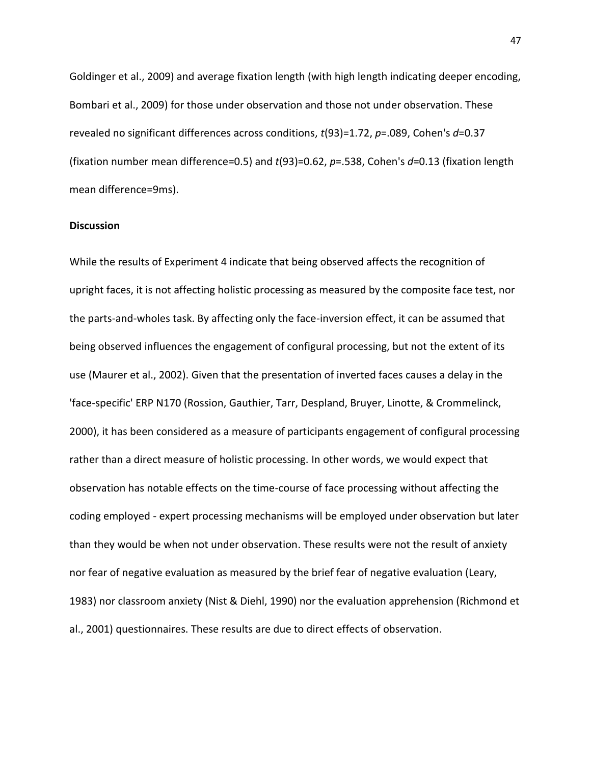Goldinger et al., 2009) and average fixation length (with high length indicating deeper encoding, Bombari et al., 2009) for those under observation and those not under observation. These revealed no significant differences across conditions, *t*(93)=1.72, *p*=.089, Cohen's *d*=0.37 (fixation number mean difference=0.5) and *t*(93)=0.62, *p*=.538, Cohen's *d*=0.13 (fixation length mean difference=9ms).

## **Discussion**

While the results of Experiment 4 indicate that being observed affects the recognition of upright faces, it is not affecting holistic processing as measured by the composite face test, nor the parts-and-wholes task. By affecting only the face-inversion effect, it can be assumed that being observed influences the engagement of configural processing, but not the extent of its use (Maurer et al., 2002). Given that the presentation of inverted faces causes a delay in the 'face-specific' ERP N170 (Rossion, Gauthier, Tarr, Despland, Bruyer, Linotte, & Crommelinck, 2000), it has been considered as a measure of participants engagement of configural processing rather than a direct measure of holistic processing. In other words, we would expect that observation has notable effects on the time-course of face processing without affecting the coding employed - expert processing mechanisms will be employed under observation but later than they would be when not under observation. These results were not the result of anxiety nor fear of negative evaluation as measured by the brief fear of negative evaluation (Leary, 1983) nor classroom anxiety (Nist & Diehl, 1990) nor the evaluation apprehension (Richmond et al., 2001) questionnaires. These results are due to direct effects of observation.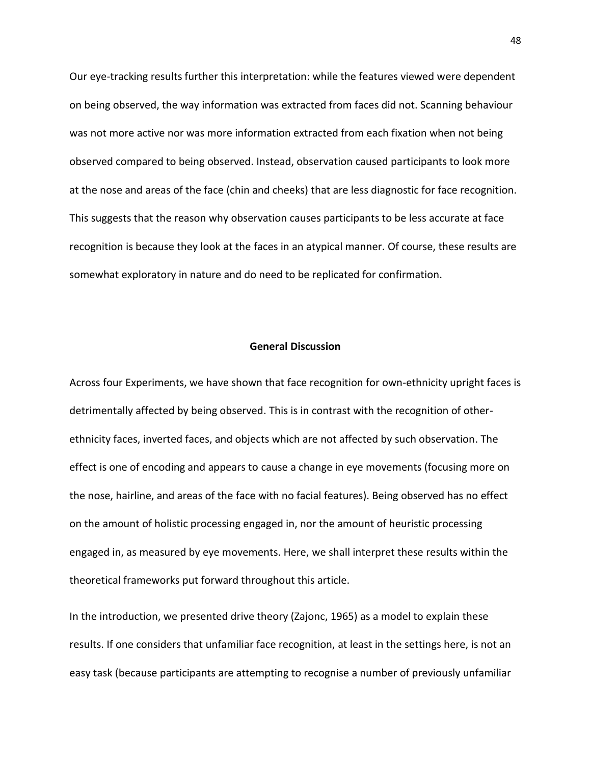Our eye-tracking results further this interpretation: while the features viewed were dependent on being observed, the way information was extracted from faces did not. Scanning behaviour was not more active nor was more information extracted from each fixation when not being observed compared to being observed. Instead, observation caused participants to look more at the nose and areas of the face (chin and cheeks) that are less diagnostic for face recognition. This suggests that the reason why observation causes participants to be less accurate at face recognition is because they look at the faces in an atypical manner. Of course, these results are somewhat exploratory in nature and do need to be replicated for confirmation.

#### **General Discussion**

Across four Experiments, we have shown that face recognition for own-ethnicity upright faces is detrimentally affected by being observed. This is in contrast with the recognition of otherethnicity faces, inverted faces, and objects which are not affected by such observation. The effect is one of encoding and appears to cause a change in eye movements (focusing more on the nose, hairline, and areas of the face with no facial features). Being observed has no effect on the amount of holistic processing engaged in, nor the amount of heuristic processing engaged in, as measured by eye movements. Here, we shall interpret these results within the theoretical frameworks put forward throughout this article.

In the introduction, we presented drive theory (Zajonc, 1965) as a model to explain these results. If one considers that unfamiliar face recognition, at least in the settings here, is not an easy task (because participants are attempting to recognise a number of previously unfamiliar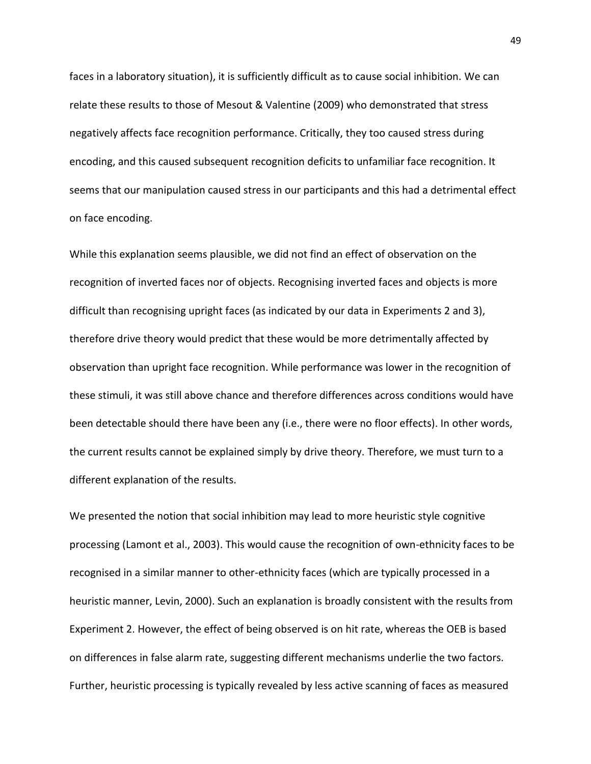faces in a laboratory situation), it is sufficiently difficult as to cause social inhibition. We can relate these results to those of Mesout & Valentine (2009) who demonstrated that stress negatively affects face recognition performance. Critically, they too caused stress during encoding, and this caused subsequent recognition deficits to unfamiliar face recognition. It seems that our manipulation caused stress in our participants and this had a detrimental effect on face encoding.

While this explanation seems plausible, we did not find an effect of observation on the recognition of inverted faces nor of objects. Recognising inverted faces and objects is more difficult than recognising upright faces (as indicated by our data in Experiments 2 and 3), therefore drive theory would predict that these would be more detrimentally affected by observation than upright face recognition. While performance was lower in the recognition of these stimuli, it was still above chance and therefore differences across conditions would have been detectable should there have been any (i.e., there were no floor effects). In other words, the current results cannot be explained simply by drive theory. Therefore, we must turn to a different explanation of the results.

We presented the notion that social inhibition may lead to more heuristic style cognitive processing (Lamont et al., 2003). This would cause the recognition of own-ethnicity faces to be recognised in a similar manner to other-ethnicity faces (which are typically processed in a heuristic manner, Levin, 2000). Such an explanation is broadly consistent with the results from Experiment 2. However, the effect of being observed is on hit rate, whereas the OEB is based on differences in false alarm rate, suggesting different mechanisms underlie the two factors. Further, heuristic processing is typically revealed by less active scanning of faces as measured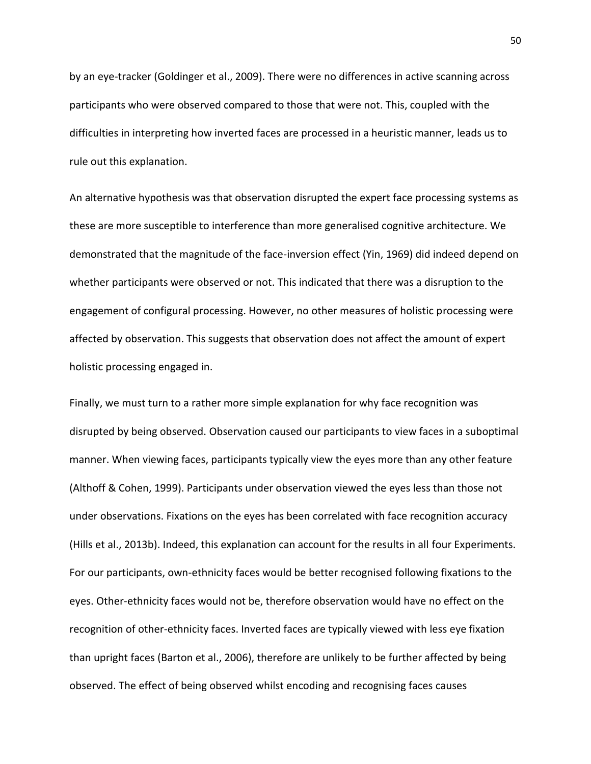by an eye-tracker (Goldinger et al., 2009). There were no differences in active scanning across participants who were observed compared to those that were not. This, coupled with the difficulties in interpreting how inverted faces are processed in a heuristic manner, leads us to rule out this explanation.

An alternative hypothesis was that observation disrupted the expert face processing systems as these are more susceptible to interference than more generalised cognitive architecture. We demonstrated that the magnitude of the face-inversion effect (Yin, 1969) did indeed depend on whether participants were observed or not. This indicated that there was a disruption to the engagement of configural processing. However, no other measures of holistic processing were affected by observation. This suggests that observation does not affect the amount of expert holistic processing engaged in.

Finally, we must turn to a rather more simple explanation for why face recognition was disrupted by being observed. Observation caused our participants to view faces in a suboptimal manner. When viewing faces, participants typically view the eyes more than any other feature (Althoff & Cohen, 1999). Participants under observation viewed the eyes less than those not under observations. Fixations on the eyes has been correlated with face recognition accuracy (Hills et al., 2013b). Indeed, this explanation can account for the results in all four Experiments. For our participants, own-ethnicity faces would be better recognised following fixations to the eyes. Other-ethnicity faces would not be, therefore observation would have no effect on the recognition of other-ethnicity faces. Inverted faces are typically viewed with less eye fixation than upright faces (Barton et al., 2006), therefore are unlikely to be further affected by being observed. The effect of being observed whilst encoding and recognising faces causes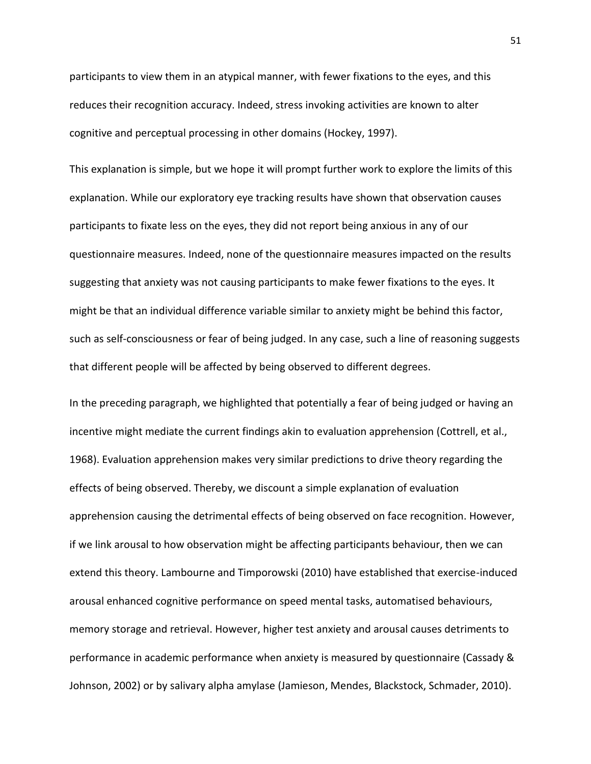participants to view them in an atypical manner, with fewer fixations to the eyes, and this reduces their recognition accuracy. Indeed, stress invoking activities are known to alter cognitive and perceptual processing in other domains (Hockey, 1997).

This explanation is simple, but we hope it will prompt further work to explore the limits of this explanation. While our exploratory eye tracking results have shown that observation causes participants to fixate less on the eyes, they did not report being anxious in any of our questionnaire measures. Indeed, none of the questionnaire measures impacted on the results suggesting that anxiety was not causing participants to make fewer fixations to the eyes. It might be that an individual difference variable similar to anxiety might be behind this factor, such as self-consciousness or fear of being judged. In any case, such a line of reasoning suggests that different people will be affected by being observed to different degrees.

In the preceding paragraph, we highlighted that potentially a fear of being judged or having an incentive might mediate the current findings akin to evaluation apprehension (Cottrell, et al., 1968). Evaluation apprehension makes very similar predictions to drive theory regarding the effects of being observed. Thereby, we discount a simple explanation of evaluation apprehension causing the detrimental effects of being observed on face recognition. However, if we link arousal to how observation might be affecting participants behaviour, then we can extend this theory. Lambourne and Timporowski (2010) have established that exercise-induced arousal enhanced cognitive performance on speed mental tasks, automatised behaviours, memory storage and retrieval. However, higher test anxiety and arousal causes detriments to performance in academic performance when anxiety is measured by questionnaire (Cassady & Johnson, 2002) or by salivary alpha amylase (Jamieson, Mendes, Blackstock, Schmader, 2010).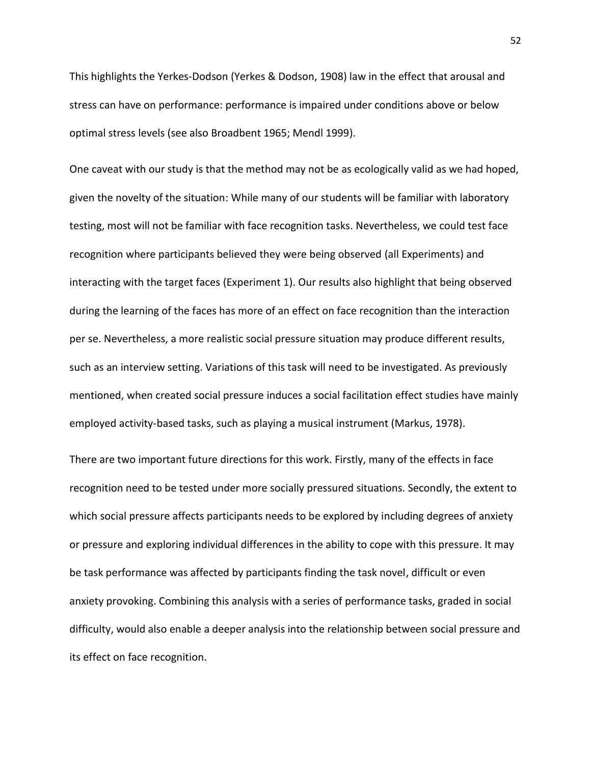This highlights the Yerkes-Dodson (Yerkes & Dodson, 1908) law in the effect that arousal and stress can have on performance: performance is impaired under conditions above or below optimal stress levels (see also Broadbent 1965; Mendl 1999).

One caveat with our study is that the method may not be as ecologically valid as we had hoped, given the novelty of the situation: While many of our students will be familiar with laboratory testing, most will not be familiar with face recognition tasks. Nevertheless, we could test face recognition where participants believed they were being observed (all Experiments) and interacting with the target faces (Experiment 1). Our results also highlight that being observed during the learning of the faces has more of an effect on face recognition than the interaction per se. Nevertheless, a more realistic social pressure situation may produce different results, such as an interview setting. Variations of this task will need to be investigated. As previously mentioned, when created social pressure induces a social facilitation effect studies have mainly employed activity-based tasks, such as playing a musical instrument (Markus, 1978).

There are two important future directions for this work. Firstly, many of the effects in face recognition need to be tested under more socially pressured situations. Secondly, the extent to which social pressure affects participants needs to be explored by including degrees of anxiety or pressure and exploring individual differences in the ability to cope with this pressure. It may be task performance was affected by participants finding the task novel, difficult or even anxiety provoking. Combining this analysis with a series of performance tasks, graded in social difficulty, would also enable a deeper analysis into the relationship between social pressure and its effect on face recognition.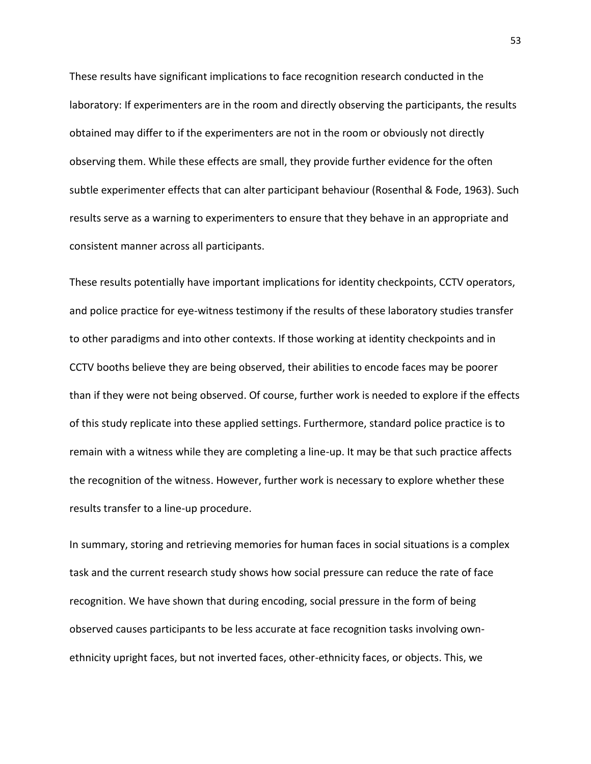These results have significant implications to face recognition research conducted in the laboratory: If experimenters are in the room and directly observing the participants, the results obtained may differ to if the experimenters are not in the room or obviously not directly observing them. While these effects are small, they provide further evidence for the often subtle experimenter effects that can alter participant behaviour (Rosenthal & Fode, 1963). Such results serve as a warning to experimenters to ensure that they behave in an appropriate and consistent manner across all participants.

These results potentially have important implications for identity checkpoints, CCTV operators, and police practice for eye-witness testimony if the results of these laboratory studies transfer to other paradigms and into other contexts. If those working at identity checkpoints and in CCTV booths believe they are being observed, their abilities to encode faces may be poorer than if they were not being observed. Of course, further work is needed to explore if the effects of this study replicate into these applied settings. Furthermore, standard police practice is to remain with a witness while they are completing a line-up. It may be that such practice affects the recognition of the witness. However, further work is necessary to explore whether these results transfer to a line-up procedure.

In summary, storing and retrieving memories for human faces in social situations is a complex task and the current research study shows how social pressure can reduce the rate of face recognition. We have shown that during encoding, social pressure in the form of being observed causes participants to be less accurate at face recognition tasks involving ownethnicity upright faces, but not inverted faces, other-ethnicity faces, or objects. This, we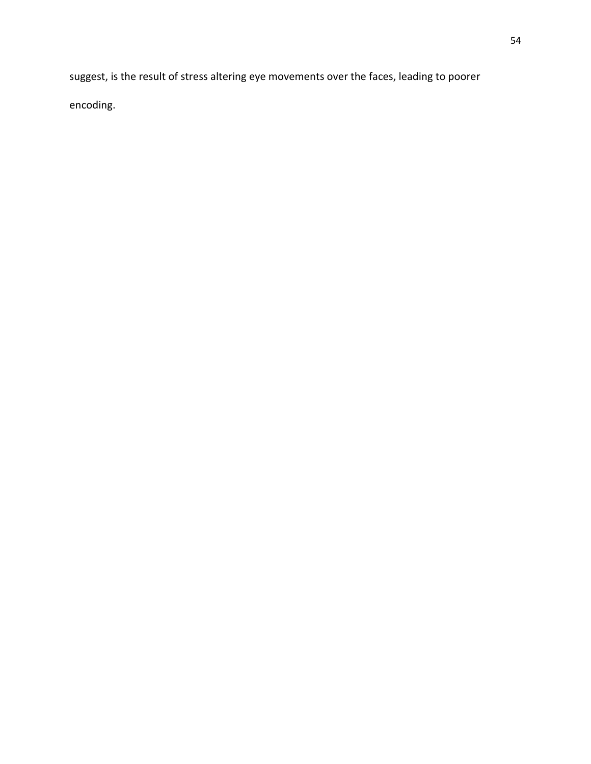suggest, is the result of stress altering eye movements over the faces, leading to poorer encoding.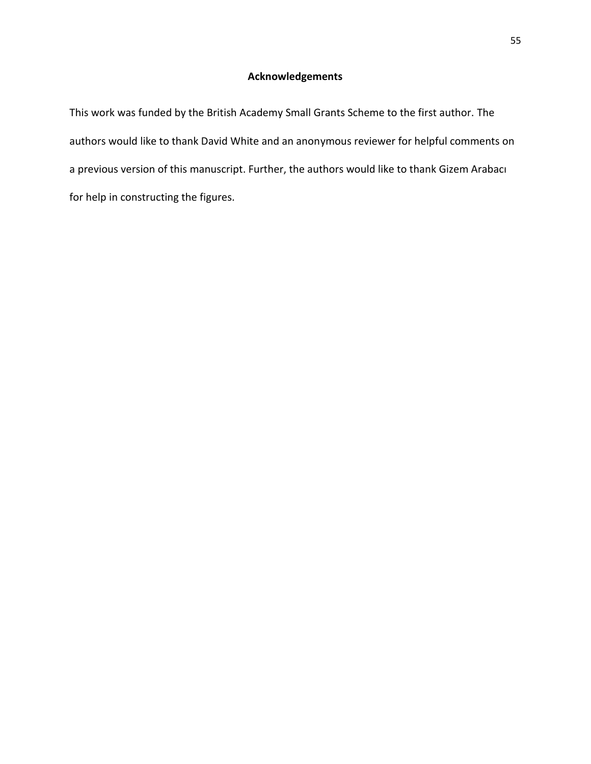# **Acknowledgements**

This work was funded by the British Academy Small Grants Scheme to the first author. The authors would like to thank David White and an anonymous reviewer for helpful comments on a previous version of this manuscript. Further, the authors would like to thank Gizem Arabacı for help in constructing the figures.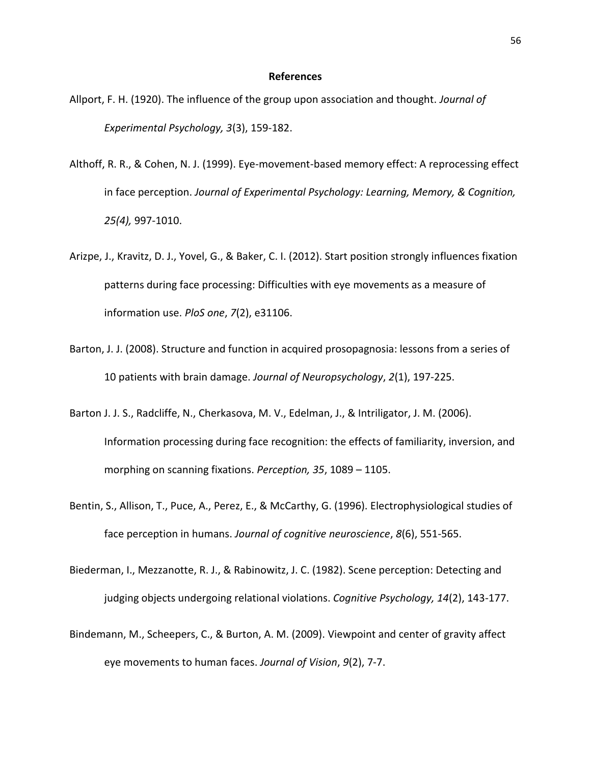#### **References**

- Allport, F. H. (1920). The influence of the group upon association and thought. *Journal of Experimental Psychology, 3*(3), 159-182.
- Althoff, R. R., & Cohen, N. J. (1999). Eye-movement-based memory effect: A reprocessing effect in face perception. *Journal of Experimental Psychology: Learning, Memory, & Cognition, 25(4),* 997-1010.
- Arizpe, J., Kravitz, D. J., Yovel, G., & Baker, C. I. (2012). Start position strongly influences fixation patterns during face processing: Difficulties with eye movements as a measure of information use. *PloS one*, *7*(2), e31106.
- Barton, J. J. (2008). Structure and function in acquired prosopagnosia: lessons from a series of 10 patients with brain damage. *Journal of Neuropsychology*, *2*(1), 197-225.
- Barton J. J. S., Radcliffe, N., Cherkasova, M. V., Edelman, J., & Intriligator, J. M. (2006). Information processing during face recognition: the effects of familiarity, inversion, and morphing on scanning fixations. *Perception, 35*, 1089 – 1105.
- Bentin, S., Allison, T., Puce, A., Perez, E., & McCarthy, G. (1996). Electrophysiological studies of face perception in humans. *Journal of cognitive neuroscience*, *8*(6), 551-565.
- Biederman, I., Mezzanotte, R. J., & Rabinowitz, J. C. (1982). Scene perception: Detecting and judging objects undergoing relational violations. *Cognitive Psychology, 14*(2), 143-177.
- Bindemann, M., Scheepers, C., & Burton, A. M. (2009). Viewpoint and center of gravity affect eye movements to human faces. *Journal of Vision*, *9*(2), 7-7.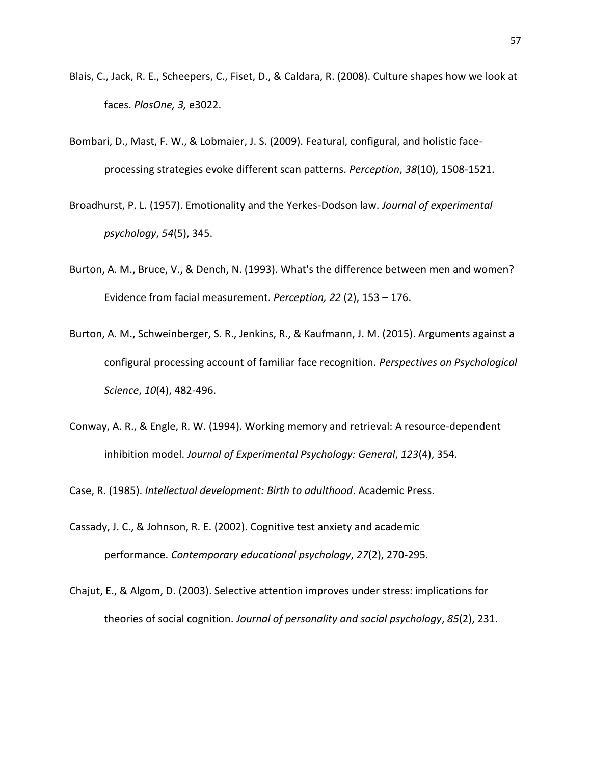- Blais, C., Jack, R. E., Scheepers, C., Fiset, D., & Caldara, R. (2008). Culture shapes how we look at faces. *PlosOne, 3,* e3022.
- Bombari, D., Mast, F. W., & Lobmaier, J. S. (2009). Featural, configural, and holistic faceprocessing strategies evoke different scan patterns. *Perception*, *38*(10), 1508-1521.
- Broadhurst, P. L. (1957). Emotionality and the Yerkes-Dodson law. *Journal of experimental psychology*, *54*(5), 345.
- Burton, A. M., Bruce, V., & Dench, N. (1993). What's the difference between men and women? Evidence from facial measurement. *Perception, 22* (2), 153 – 176.
- Burton, A. M., Schweinberger, S. R., Jenkins, R., & Kaufmann, J. M. (2015). Arguments against a configural processing account of familiar face recognition. *Perspectives on Psychological Science*, *10*(4), 482-496.
- Conway, A. R., & Engle, R. W. (1994). Working memory and retrieval: A resource-dependent inhibition model. *Journal of Experimental Psychology: General*, *123*(4), 354.

Case, R. (1985). *Intellectual development: Birth to adulthood*. Academic Press.

- Cassady, J. C., & Johnson, R. E. (2002). Cognitive test anxiety and academic performance. *Contemporary educational psychology*, *27*(2), 270-295.
- Chajut, E., & Algom, D. (2003). Selective attention improves under stress: implications for theories of social cognition. *Journal of personality and social psychology*, *85*(2), 231.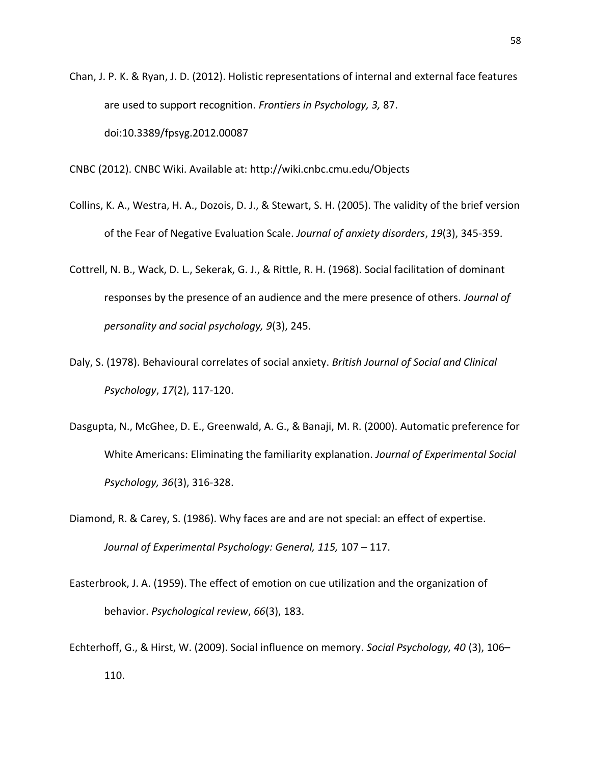Chan, J. P. K. & Ryan, J. D. (2012). Holistic representations of internal and external face features are used to support recognition. *Frontiers in Psychology, 3,* 87. doi:10.3389/fpsyg.2012.00087

CNBC (2012). CNBC Wiki. Available at: http://wiki.cnbc.cmu.edu/Objects

- Collins, K. A., Westra, H. A., Dozois, D. J., & Stewart, S. H. (2005). The validity of the brief version of the Fear of Negative Evaluation Scale. *Journal of anxiety disorders*, *19*(3), 345-359.
- Cottrell, N. B., Wack, D. L., Sekerak, G. J., & Rittle, R. H. (1968). Social facilitation of dominant responses by the presence of an audience and the mere presence of others. *Journal of personality and social psychology, 9*(3), 245.
- Daly, S. (1978). Behavioural correlates of social anxiety. *British Journal of Social and Clinical Psychology*, *17*(2), 117-120.
- Dasgupta, N., McGhee, D. E., Greenwald, A. G., & Banaji, M. R. (2000). Automatic preference for White Americans: Eliminating the familiarity explanation. *Journal of Experimental Social Psychology, 36*(3), 316-328.
- Diamond, R. & Carey, S. (1986). Why faces are and are not special: an effect of expertise. *Journal of Experimental Psychology: General, 115,* 107 – 117.
- Easterbrook, J. A. (1959). The effect of emotion on cue utilization and the organization of behavior. *Psychological review*, *66*(3), 183.
- Echterhoff, G., & Hirst, W. (2009). Social influence on memory. *Social Psychology, 40* (3), 106– 110.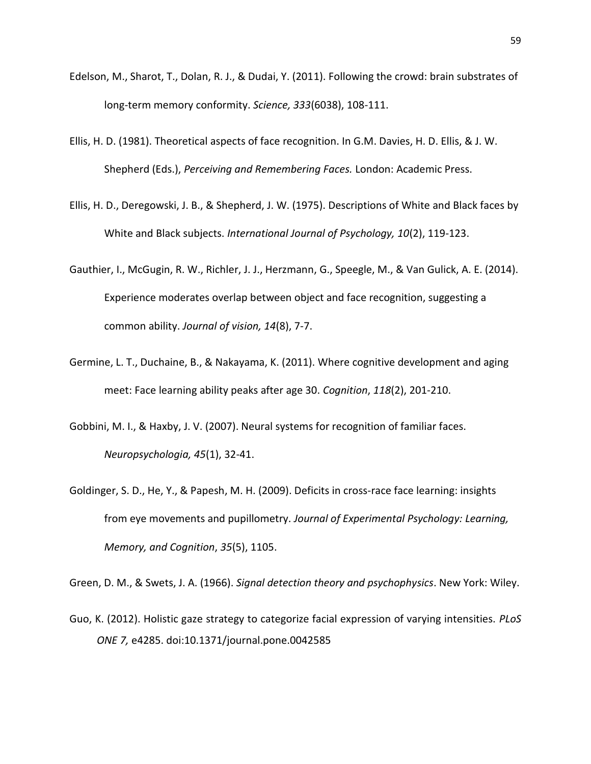- Edelson, M., Sharot, T., Dolan, R. J., & Dudai, Y. (2011). Following the crowd: brain substrates of long-term memory conformity. *Science, 333*(6038), 108-111.
- Ellis, H. D. (1981). Theoretical aspects of face recognition. In G.M. Davies, H. D. Ellis, & J. W. Shepherd (Eds.), *Perceiving and Remembering Faces.* London: Academic Press.
- Ellis, H. D., Deregowski, J. B., & Shepherd, J. W. (1975). Descriptions of White and Black faces by White and Black subjects. *International Journal of Psychology, 10*(2), 119-123.
- Gauthier, I., McGugin, R. W., Richler, J. J., Herzmann, G., Speegle, M., & Van Gulick, A. E. (2014). Experience moderates overlap between object and face recognition, suggesting a common ability. *Journal of vision, 14*(8), 7-7.
- Germine, L. T., Duchaine, B., & Nakayama, K. (2011). Where cognitive development and aging meet: Face learning ability peaks after age 30. *Cognition*, *118*(2), 201-210.
- Gobbini, M. I., & Haxby, J. V. (2007). Neural systems for recognition of familiar faces. *Neuropsychologia, 45*(1), 32-41.
- Goldinger, S. D., He, Y., & Papesh, M. H. (2009). Deficits in cross-race face learning: insights from eye movements and pupillometry. *Journal of Experimental Psychology: Learning, Memory, and Cognition*, *35*(5), 1105.

Green, D. M., & Swets, J. A. (1966). *Signal detection theory and psychophysics*. New York: Wiley.

Guo, K. (2012). Holistic gaze strategy to categorize facial expression of varying intensities. *PLoS ONE 7,* e4285. doi:10.1371/journal.pone.0042585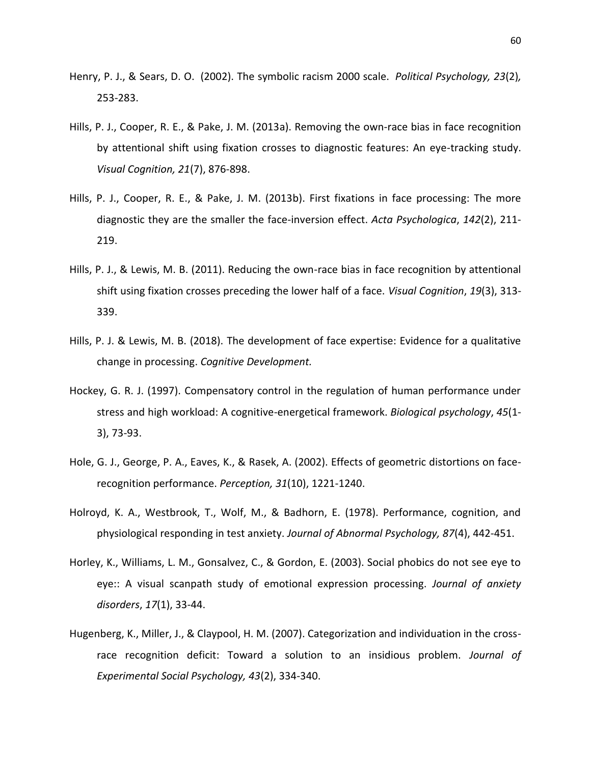- Henry, P. J., & Sears, D. O. (2002). The symbolic racism 2000 scale. *Political Psychology, 23*(2)*,* 253-283.
- Hills, P. J., Cooper, R. E., & Pake, J. M. (2013a). Removing the own-race bias in face recognition by attentional shift using fixation crosses to diagnostic features: An eye-tracking study. *Visual Cognition, 21*(7), 876-898.
- Hills, P. J., Cooper, R. E., & Pake, J. M. (2013b). First fixations in face processing: The more diagnostic they are the smaller the face-inversion effect. *Acta Psychologica*, *142*(2), 211- 219.
- Hills, P. J., & Lewis, M. B. (2011). Reducing the own-race bias in face recognition by attentional shift using fixation crosses preceding the lower half of a face. *Visual Cognition*, *19*(3), 313- 339.
- Hills, P. J. & Lewis, M. B. (2018). The development of face expertise: Evidence for a qualitative change in processing. *Cognitive Development.*
- Hockey, G. R. J. (1997). Compensatory control in the regulation of human performance under stress and high workload: A cognitive-energetical framework. *Biological psychology*, *45*(1- 3), 73-93.
- Hole, G. J., George, P. A., Eaves, K., & Rasek, A. (2002). Effects of geometric distortions on facerecognition performance. *Perception, 31*(10), 1221-1240.
- Holroyd, K. A., Westbrook, T., Wolf, M., & Badhorn, E. (1978). Performance, cognition, and physiological responding in test anxiety. *Journal of Abnormal Psychology, 87*(4), 442-451.
- Horley, K., Williams, L. M., Gonsalvez, C., & Gordon, E. (2003). Social phobics do not see eye to eye:: A visual scanpath study of emotional expression processing. *Journal of anxiety disorders*, *17*(1), 33-44.
- Hugenberg, K., Miller, J., & Claypool, H. M. (2007). Categorization and individuation in the crossrace recognition deficit: Toward a solution to an insidious problem. *Journal of Experimental Social Psychology, 43*(2), 334-340.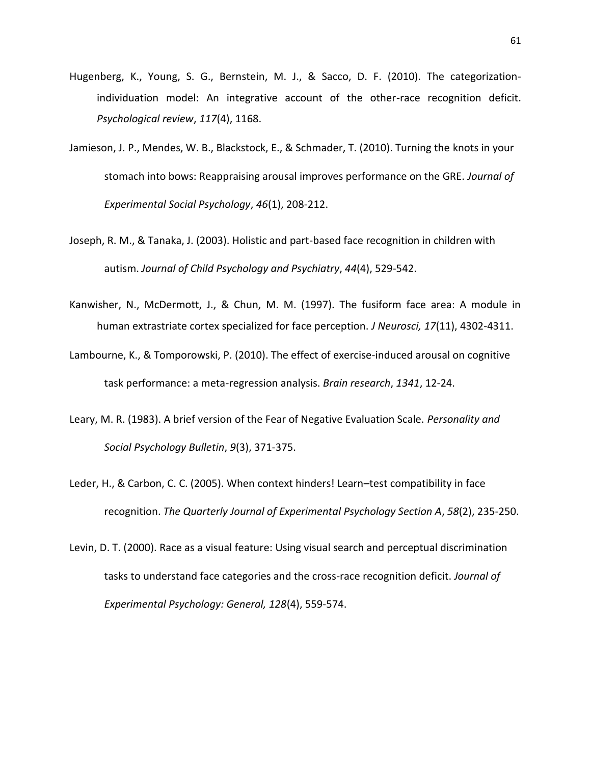- Hugenberg, K., Young, S. G., Bernstein, M. J., & Sacco, D. F. (2010). The categorizationindividuation model: An integrative account of the other-race recognition deficit. *Psychological review*, *117*(4), 1168.
- Jamieson, J. P., Mendes, W. B., Blackstock, E., & Schmader, T. (2010). Turning the knots in your stomach into bows: Reappraising arousal improves performance on the GRE. *Journal of Experimental Social Psychology*, *46*(1), 208-212.
- Joseph, R. M., & Tanaka, J. (2003). Holistic and part‐based face recognition in children with autism. *Journal of Child Psychology and Psychiatry*, *44*(4), 529-542.
- Kanwisher, N., McDermott, J., & Chun, M. M. (1997). The fusiform face area: A module in human extrastriate cortex specialized for face perception. *J Neurosci, 17*(11), 4302-4311.
- Lambourne, K., & Tomporowski, P. (2010). The effect of exercise-induced arousal on cognitive task performance: a meta-regression analysis. *Brain research*, *1341*, 12-24.
- Leary, M. R. (1983). A brief version of the Fear of Negative Evaluation Scale. *Personality and Social Psychology Bulletin*, *9*(3), 371-375.
- Leder, H., & Carbon, C. C. (2005). When context hinders! Learn–test compatibility in face recognition. *The Quarterly Journal of Experimental Psychology Section A*, *58*(2), 235-250.
- Levin, D. T. (2000). Race as a visual feature: Using visual search and perceptual discrimination tasks to understand face categories and the cross-race recognition deficit. *Journal of Experimental Psychology: General, 128*(4), 559-574.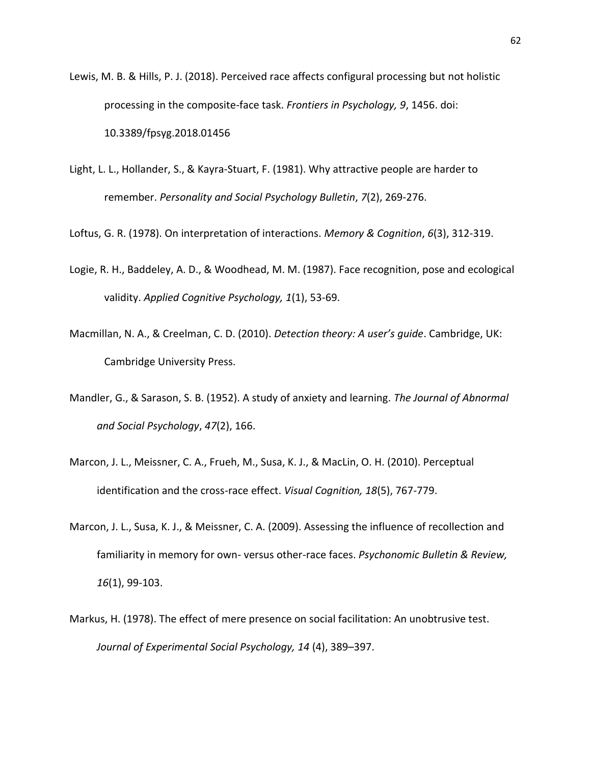- Lewis, M. B. & Hills, P. J. (2018). Perceived race affects configural processing but not holistic processing in the composite-face task. *Frontiers in Psychology, 9*, 1456. doi: 10.3389/fpsyg.2018.01456
- Light, L. L., Hollander, S., & Kayra-Stuart, F. (1981). Why attractive people are harder to remember. *Personality and Social Psychology Bulletin*, *7*(2), 269-276.

Loftus, G. R. (1978). On interpretation of interactions. *Memory & Cognition*, *6*(3), 312-319.

- Logie, R. H., Baddeley, A. D., & Woodhead, M. M. (1987). Face recognition, pose and ecological validity. *Applied Cognitive Psychology, 1*(1), 53-69.
- Macmillan, N. A., & Creelman, C. D. (2010). *Detection theory: A user's guide*. Cambridge, UK: Cambridge University Press.
- Mandler, G., & Sarason, S. B. (1952). A study of anxiety and learning. *The Journal of Abnormal and Social Psychology*, *47*(2), 166.
- Marcon, J. L., Meissner, C. A., Frueh, M., Susa, K. J., & MacLin, O. H. (2010). Perceptual identification and the cross-race effect. *Visual Cognition, 18*(5), 767-779.
- Marcon, J. L., Susa, K. J., & Meissner, C. A. (2009). Assessing the influence of recollection and familiarity in memory for own- versus other-race faces. *Psychonomic Bulletin & Review, 16*(1), 99-103.
- Markus, H. (1978). The effect of mere presence on social facilitation: An unobtrusive test. *Journal of Experimental Social Psychology, 14* (4), 389–397.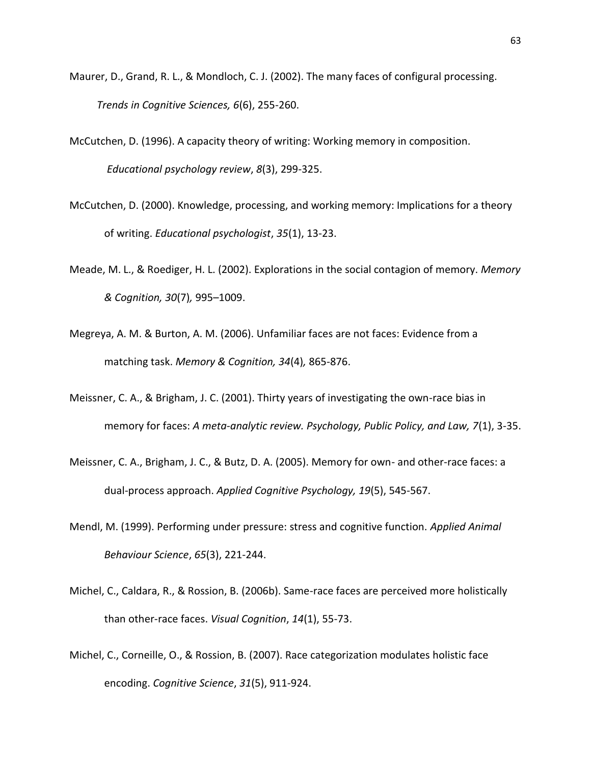- Maurer, D., Grand, R. L., & Mondloch, C. J. (2002). The many faces of configural processing. *Trends in Cognitive Sciences, 6*(6), 255-260.
- McCutchen, D. (1996). A capacity theory of writing: Working memory in composition. *Educational psychology review*, *8*(3), 299-325.
- McCutchen, D. (2000). Knowledge, processing, and working memory: Implications for a theory of writing. *Educational psychologist*, *35*(1), 13-23.
- Meade, M. L., & Roediger, H. L. (2002). Explorations in the social contagion of memory. *Memory & Cognition, 30*(7)*,* 995–1009.
- Megreya, A. M. & Burton, A. M. (2006). Unfamiliar faces are not faces: Evidence from a matching task. *Memory & Cognition, 34*(4)*,* 865-876.
- Meissner, C. A., & Brigham, J. C. (2001). Thirty years of investigating the own-race bias in memory for faces: *A meta-analytic review. Psychology, Public Policy, and Law, 7*(1), 3-35.
- Meissner, C. A., Brigham, J. C., & Butz, D. A. (2005). Memory for own- and other-race faces: a dual-process approach. *Applied Cognitive Psychology, 19*(5), 545-567.
- Mendl, M. (1999). Performing under pressure: stress and cognitive function. *Applied Animal Behaviour Science*, *65*(3), 221-244.
- Michel, C., Caldara, R., & Rossion, B. (2006b). Same-race faces are perceived more holistically than other-race faces. *Visual Cognition*, *14*(1), 55-73.
- Michel, C., Corneille, O., & Rossion, B. (2007). Race categorization modulates holistic face encoding. *Cognitive Science*, *31*(5), 911-924.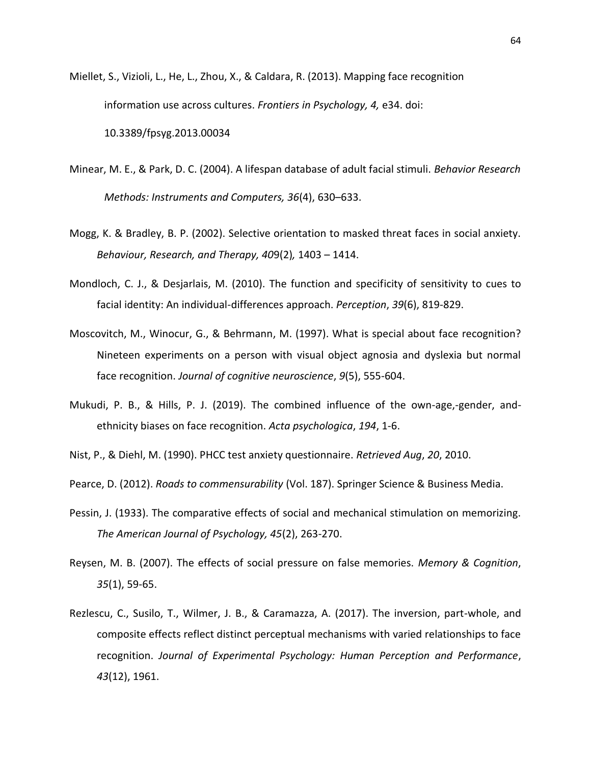Miellet, S., Vizioli, L., He, L., Zhou, X., & Caldara, R. (2013). Mapping face recognition information use across cultures. *Frontiers in Psychology, 4,* e34. doi: 10.3389/fpsyg.2013.00034

- Minear, M. E., & Park, D. C. (2004). A lifespan database of adult facial stimuli. *Behavior Research Methods: Instruments and Computers, 36*(4), 630–633.
- Mogg, K. & Bradley, B. P. (2002). Selective orientation to masked threat faces in social anxiety. *Behaviour, Research, and Therapy, 40*9(2)*,* 1403 – 1414.
- Mondloch, C. J., & Desjarlais, M. (2010). The function and specificity of sensitivity to cues to facial identity: An individual-differences approach. *Perception*, *39*(6), 819-829.
- Moscovitch, M., Winocur, G., & Behrmann, M. (1997). What is special about face recognition? Nineteen experiments on a person with visual object agnosia and dyslexia but normal face recognition. *Journal of cognitive neuroscience*, *9*(5), 555-604.
- Mukudi, P. B., & Hills, P. J. (2019). The combined influence of the own-age,-gender, andethnicity biases on face recognition. *Acta psychologica*, *194*, 1-6.
- Nist, P., & Diehl, M. (1990). PHCC test anxiety questionnaire. *Retrieved Aug*, *20*, 2010.
- Pearce, D. (2012). *Roads to commensurability* (Vol. 187). Springer Science & Business Media.
- Pessin, J. (1933). The comparative effects of social and mechanical stimulation on memorizing. *The American Journal of Psychology, 45*(2), 263-270.
- Reysen, M. B. (2007). The effects of social pressure on false memories. *Memory & Cognition*, *35*(1), 59-65.
- Rezlescu, C., Susilo, T., Wilmer, J. B., & Caramazza, A. (2017). The inversion, part-whole, and composite effects reflect distinct perceptual mechanisms with varied relationships to face recognition. *Journal of Experimental Psychology: Human Perception and Performance*, *43*(12), 1961.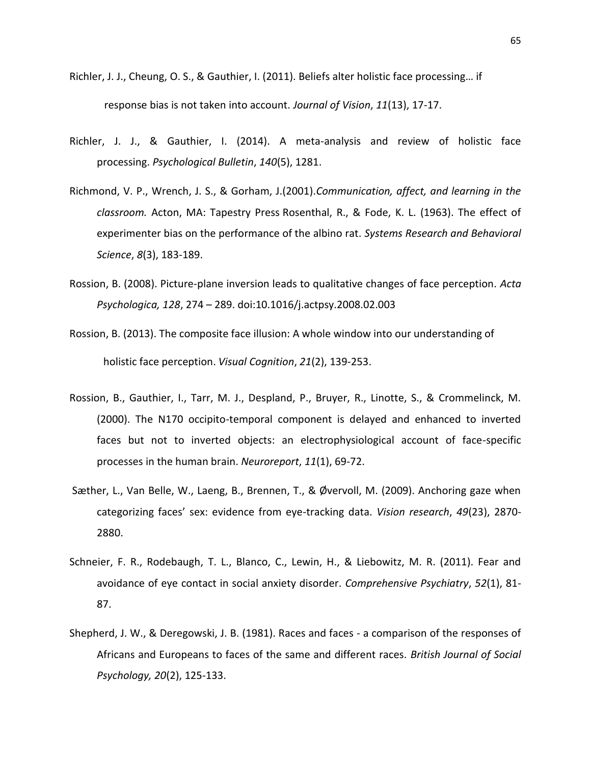- Richler, J. J., Cheung, O. S., & Gauthier, I. (2011). Beliefs alter holistic face processing… if response bias is not taken into account. *Journal of Vision*, *11*(13), 17-17.
- Richler, J. J., & Gauthier, I. (2014). A meta-analysis and review of holistic face processing. *Psychological Bulletin*, *140*(5), 1281.
- Richmond, V. P., Wrench, J. S., & Gorham, J.(2001).*Communication, affect, and learning in the classroom.* Acton, MA: Tapestry Press Rosenthal, R., & Fode, K. L. (1963). The effect of experimenter bias on the performance of the albino rat. *Systems Research and Behavioral Science*, *8*(3), 183-189.
- Rossion, B. (2008). Picture-plane inversion leads to qualitative changes of face perception. *Acta Psychologica, 128*, 274 – 289. doi:10.1016/j.actpsy.2008.02.003
- Rossion, B. (2013). The composite face illusion: A whole window into our understanding of holistic face perception. *Visual Cognition*, *21*(2), 139-253.
- Rossion, B., Gauthier, I., Tarr, M. J., Despland, P., Bruyer, R., Linotte, S., & Crommelinck, M. (2000). The N170 occipito-temporal component is delayed and enhanced to inverted faces but not to inverted objects: an electrophysiological account of face-specific processes in the human brain. *Neuroreport*, *11*(1), 69-72.
- Sæther, L., Van Belle, W., Laeng, B., Brennen, T., & Øvervoll, M. (2009). Anchoring gaze when categorizing faces' sex: evidence from eye-tracking data. *Vision research*, *49*(23), 2870- 2880.
- Schneier, F. R., Rodebaugh, T. L., Blanco, C., Lewin, H., & Liebowitz, M. R. (2011). Fear and avoidance of eye contact in social anxiety disorder. *Comprehensive Psychiatry*, *52*(1), 81- 87.
- Shepherd, J. W., & Deregowski, J. B. (1981). Races and faces a comparison of the responses of Africans and Europeans to faces of the same and different races. *British Journal of Social Psychology, 20*(2), 125-133.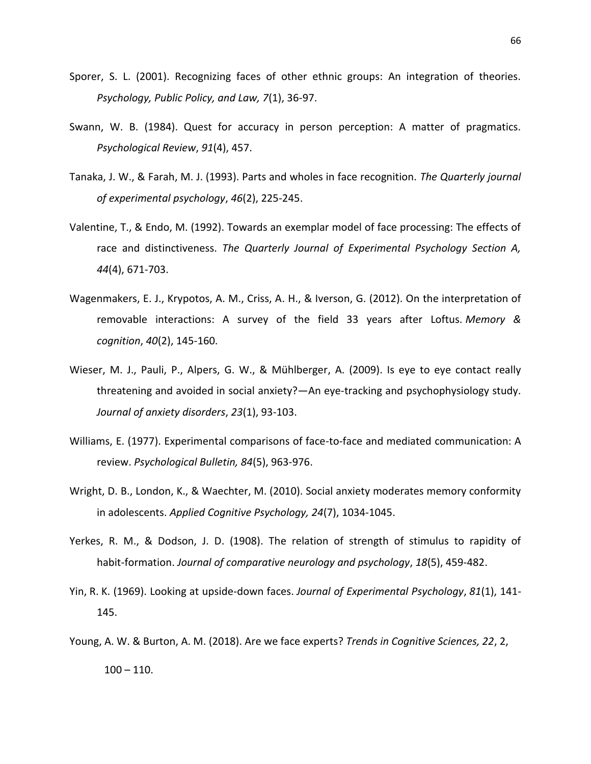- Sporer, S. L. (2001). Recognizing faces of other ethnic groups: An integration of theories. *Psychology, Public Policy, and Law, 7*(1), 36-97.
- Swann, W. B. (1984). Quest for accuracy in person perception: A matter of pragmatics. *Psychological Review*, *91*(4), 457.
- Tanaka, J. W., & Farah, M. J. (1993). Parts and wholes in face recognition. *The Quarterly journal of experimental psychology*, *46*(2), 225-245.
- Valentine, T., & Endo, M. (1992). Towards an exemplar model of face processing: The effects of race and distinctiveness. *The Quarterly Journal of Experimental Psychology Section A, 44*(4), 671-703.
- Wagenmakers, E. J., Krypotos, A. M., Criss, A. H., & Iverson, G. (2012). On the interpretation of removable interactions: A survey of the field 33 years after Loftus. *Memory & cognition*, *40*(2), 145-160.
- Wieser, M. J., Pauli, P., Alpers, G. W., & Mühlberger, A. (2009). Is eye to eye contact really threatening and avoided in social anxiety?—An eye-tracking and psychophysiology study. *Journal of anxiety disorders*, *23*(1), 93-103.
- Williams, E. (1977). Experimental comparisons of face-to-face and mediated communication: A review. *Psychological Bulletin, 84*(5), 963-976.
- Wright, D. B., London, K., & Waechter, M. (2010). Social anxiety moderates memory conformity in adolescents. *Applied Cognitive Psychology, 24*(7), 1034-1045.
- Yerkes, R. M., & Dodson, J. D. (1908). The relation of strength of stimulus to rapidity of habit‐formation. *Journal of comparative neurology and psychology*, *18*(5), 459-482.
- Yin, R. K. (1969). Looking at upside-down faces. *Journal of Experimental Psychology*, *81*(1), 141- 145.
- Young, A. W. & Burton, A. M. (2018). Are we face experts? *Trends in Cognitive Sciences, 22*, 2,  $100 - 110$ .